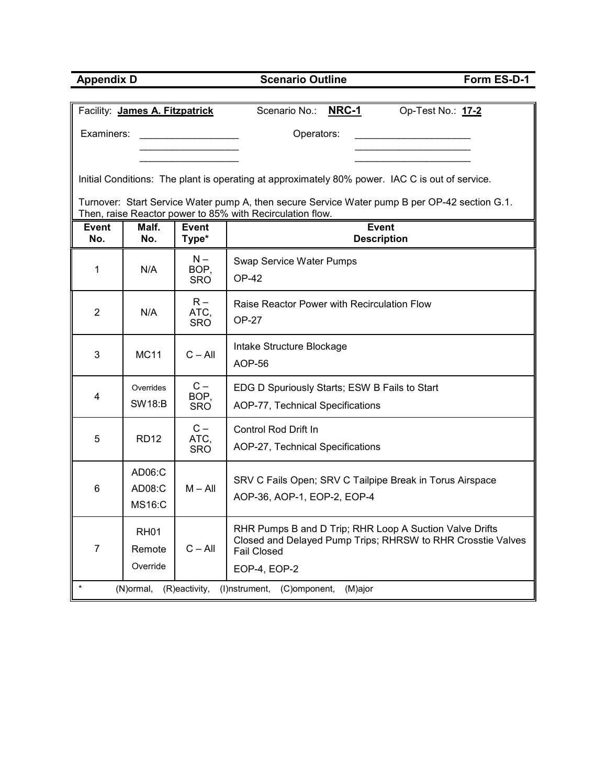| <b>Appendix D</b>   |                                   |                             | <b>Scenario Outline</b>                                                                                                                                    | Form ES-D-1       |  |  |  |  |  |  |  |  |
|---------------------|-----------------------------------|-----------------------------|------------------------------------------------------------------------------------------------------------------------------------------------------------|-------------------|--|--|--|--|--|--|--|--|
|                     | Facility: James A. Fitzpatrick    |                             | <b>NRC-1</b><br>Scenario No.:                                                                                                                              | Op-Test No.: 17-2 |  |  |  |  |  |  |  |  |
|                     |                                   |                             |                                                                                                                                                            |                   |  |  |  |  |  |  |  |  |
| Examiners:          |                                   |                             | Operators:                                                                                                                                                 |                   |  |  |  |  |  |  |  |  |
|                     |                                   |                             |                                                                                                                                                            |                   |  |  |  |  |  |  |  |  |
|                     |                                   |                             | Initial Conditions: The plant is operating at approximately 80% power. IAC C is out of service.                                                            |                   |  |  |  |  |  |  |  |  |
|                     |                                   |                             | Turnover: Start Service Water pump A, then secure Service Water pump B per OP-42 section G.1.<br>Then, raise Reactor power to 85% with Recirculation flow. |                   |  |  |  |  |  |  |  |  |
| <b>Event</b><br>No. | Malf.<br>No.                      | <b>Event</b><br>Type*       | <b>Event</b><br><b>Description</b>                                                                                                                         |                   |  |  |  |  |  |  |  |  |
| 1                   | N/A                               | $N -$<br>BOP,<br><b>SRO</b> | Swap Service Water Pumps<br><b>OP-42</b>                                                                                                                   |                   |  |  |  |  |  |  |  |  |
| $\overline{2}$      | N/A                               | $R -$<br>ATC,<br><b>SRO</b> | Raise Reactor Power with Recirculation Flow<br><b>OP-27</b>                                                                                                |                   |  |  |  |  |  |  |  |  |
| 3                   | <b>MC11</b>                       | $C - All$                   | Intake Structure Blockage<br>AOP-56                                                                                                                        |                   |  |  |  |  |  |  |  |  |
|                     | Overrides                         | $C -$                       | EDG D Spuriously Starts; ESW B Fails to Start                                                                                                              |                   |  |  |  |  |  |  |  |  |
| 4                   | <b>SW18:B</b>                     | BOP,<br><b>SRO</b>          | AOP-77, Technical Specifications                                                                                                                           |                   |  |  |  |  |  |  |  |  |
|                     |                                   | $C -$                       | Control Rod Drift In                                                                                                                                       |                   |  |  |  |  |  |  |  |  |
| 5                   | <b>RD12</b>                       | ATC,<br><b>SRO</b>          | AOP-27, Technical Specifications                                                                                                                           |                   |  |  |  |  |  |  |  |  |
| 6                   | AD06:C<br>AD08:C<br><b>MS16:C</b> | $M - All$                   | SRV C Fails Open; SRV C Tailpipe Break in Torus Airspace<br>AOP-36, AOP-1, EOP-2, EOP-4                                                                    |                   |  |  |  |  |  |  |  |  |
| $\overline{7}$      | <b>RH01</b><br>Remote             | $C - All$                   | RHR Pumps B and D Trip; RHR Loop A Suction Valve Drifts<br>Closed and Delayed Pump Trips; RHRSW to RHR Crosstie Valves<br><b>Fail Closed</b>               |                   |  |  |  |  |  |  |  |  |
|                     | Override                          |                             | EOP-4, EOP-2                                                                                                                                               |                   |  |  |  |  |  |  |  |  |
|                     | (N)ormal,                         | (R)eactivity,               | (I) nstrument,<br>(C) omponent,<br>(M)ajor                                                                                                                 |                   |  |  |  |  |  |  |  |  |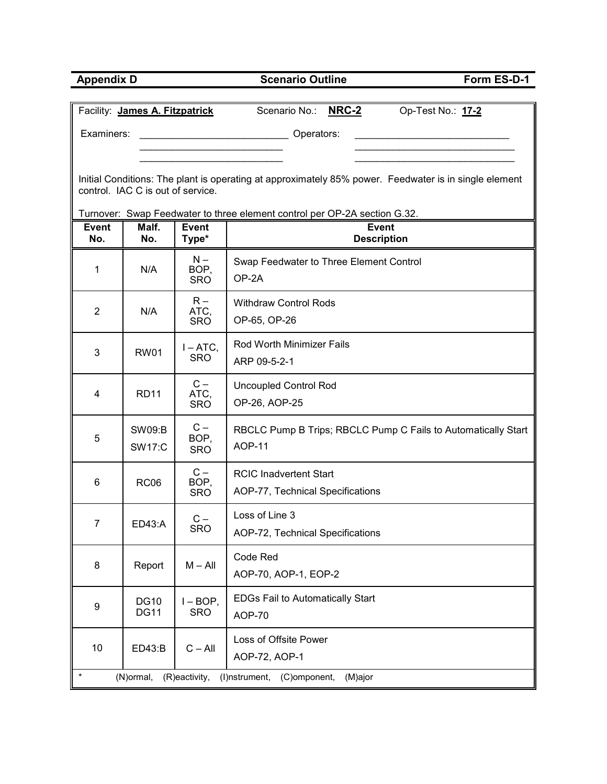| <b>Appendix D</b> |                                   |                             | <b>Scenario Outline</b>                                                                               | Form ES-D-1 |
|-------------------|-----------------------------------|-----------------------------|-------------------------------------------------------------------------------------------------------|-------------|
|                   |                                   |                             | Scenario No.: NRC-2                                                                                   |             |
|                   | Facility: James A. Fitzpatrick    |                             | Op-Test No.: 17-2                                                                                     |             |
| Examiners:        |                                   |                             | Operators:                                                                                            |             |
|                   |                                   |                             |                                                                                                       |             |
|                   | control. IAC C is out of service. |                             | Initial Conditions: The plant is operating at approximately 85% power. Feedwater is in single element |             |
|                   |                                   |                             |                                                                                                       |             |
| <b>Event</b>      | Malf.                             | <b>Event</b>                | Turnover: Swap Feedwater to three element control per OP-2A section G.32.<br><b>Event</b>             |             |
| No.               | No.                               | Type*                       | <b>Description</b>                                                                                    |             |
| 1                 | N/A                               | $N -$<br>BOP,<br><b>SRO</b> | Swap Feedwater to Three Element Control<br>OP-2A                                                      |             |
| 2                 | N/A                               | $R -$<br>ATC,<br><b>SRO</b> | <b>Withdraw Control Rods</b><br>OP-65, OP-26                                                          |             |
| 3                 | <b>RW01</b>                       | $I - ATC$ ,<br><b>SRO</b>   | Rod Worth Minimizer Fails<br>ARP 09-5-2-1                                                             |             |
| 4                 | <b>RD11</b>                       | $C -$<br>ATC,<br><b>SRO</b> | <b>Uncoupled Control Rod</b><br>OP-26, AOP-25                                                         |             |
| 5                 | <b>SW09:B</b><br><b>SW17:C</b>    | $C -$<br>BOP,<br><b>SRO</b> | RBCLC Pump B Trips; RBCLC Pump C Fails to Automatically Start<br><b>AOP-11</b>                        |             |
| 6                 | <b>RC06</b>                       | $C -$<br>BOP,<br><b>SRO</b> | <b>RCIC Inadvertent Start</b><br>AOP-77, Technical Specifications                                     |             |
| $\overline{7}$    | ED43:A                            | $C -$<br><b>SRO</b>         | Loss of Line 3<br>AOP-72, Technical Specifications                                                    |             |
| 8                 | Report                            | $M - All$                   | Code Red<br>AOP-70, AOP-1, EOP-2                                                                      |             |
| 9                 | <b>DG10</b><br><b>DG11</b>        | $I - BOP$ ,<br><b>SRO</b>   | <b>EDGs Fail to Automatically Start</b><br><b>AOP-70</b>                                              |             |
| 10                | ED43:B                            | $C - All$                   | Loss of Offsite Power<br>AOP-72, AOP-1                                                                |             |
|                   | (N)ormal,                         | (R)eactivity,               | (I)nstrument,<br>(C)omponent,<br>(M)ajor                                                              |             |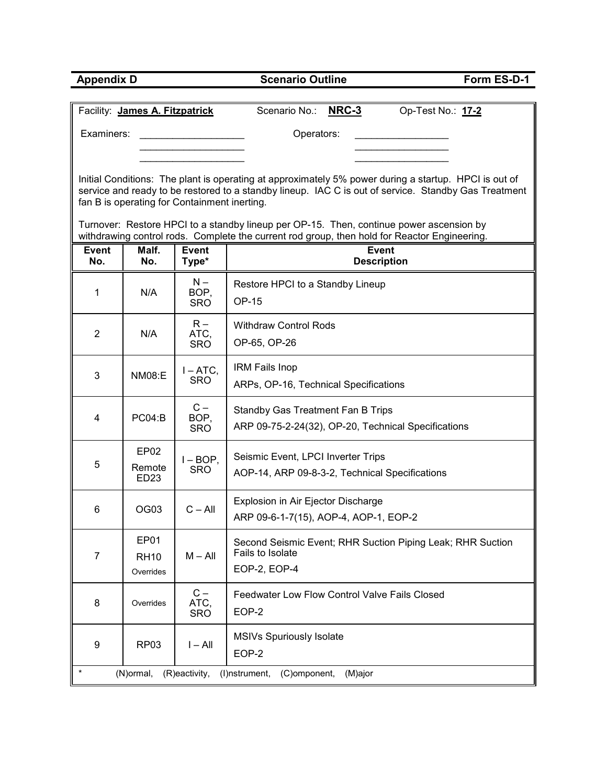| <b>Appendix D</b>   |                                |                                              | <b>Scenario Outline</b><br>Form ES-D-1                                                                                                                                                                        |  |  |  |  |  |  |  |  |  |  |  |
|---------------------|--------------------------------|----------------------------------------------|---------------------------------------------------------------------------------------------------------------------------------------------------------------------------------------------------------------|--|--|--|--|--|--|--|--|--|--|--|
|                     |                                |                                              |                                                                                                                                                                                                               |  |  |  |  |  |  |  |  |  |  |  |
|                     | Facility: James A. Fitzpatrick |                                              | Scenario No.: NRC-3<br>Op-Test No.: 17-2                                                                                                                                                                      |  |  |  |  |  |  |  |  |  |  |  |
| Examiners:          |                                |                                              | Operators:                                                                                                                                                                                                    |  |  |  |  |  |  |  |  |  |  |  |
|                     |                                |                                              |                                                                                                                                                                                                               |  |  |  |  |  |  |  |  |  |  |  |
|                     |                                |                                              |                                                                                                                                                                                                               |  |  |  |  |  |  |  |  |  |  |  |
|                     |                                |                                              | Initial Conditions: The plant is operating at approximately 5% power during a startup. HPCI is out of<br>service and ready to be restored to a standby lineup. IAC C is out of service. Standby Gas Treatment |  |  |  |  |  |  |  |  |  |  |  |
|                     |                                | fan B is operating for Containment inerting. |                                                                                                                                                                                                               |  |  |  |  |  |  |  |  |  |  |  |
|                     |                                |                                              | Turnover: Restore HPCI to a standby lineup per OP-15. Then, continue power ascension by                                                                                                                       |  |  |  |  |  |  |  |  |  |  |  |
|                     |                                |                                              | withdrawing control rods. Complete the current rod group, then hold for Reactor Engineering.                                                                                                                  |  |  |  |  |  |  |  |  |  |  |  |
| <b>Event</b><br>No. | Malf.<br>No.                   | <b>Event</b><br>Type*                        | <b>Event</b><br><b>Description</b>                                                                                                                                                                            |  |  |  |  |  |  |  |  |  |  |  |
|                     |                                | $N -$                                        | Restore HPCI to a Standby Lineup                                                                                                                                                                              |  |  |  |  |  |  |  |  |  |  |  |
| 1                   | N/A                            | BOP,<br><b>SRO</b>                           | OP-15                                                                                                                                                                                                         |  |  |  |  |  |  |  |  |  |  |  |
|                     |                                |                                              |                                                                                                                                                                                                               |  |  |  |  |  |  |  |  |  |  |  |
| $\overline{2}$      | N/A                            | $R -$<br>ATC,                                | <b>Withdraw Control Rods</b>                                                                                                                                                                                  |  |  |  |  |  |  |  |  |  |  |  |
|                     |                                | SRO                                          | OP-65, OP-26                                                                                                                                                                                                  |  |  |  |  |  |  |  |  |  |  |  |
| 3                   | <b>NM08:E</b>                  | $I - ATC$ ,                                  | <b>IRM Fails Inop</b>                                                                                                                                                                                         |  |  |  |  |  |  |  |  |  |  |  |
|                     |                                | <b>SRO</b>                                   | ARPs, OP-16, Technical Specifications                                                                                                                                                                         |  |  |  |  |  |  |  |  |  |  |  |
|                     |                                | $C -$                                        | Standby Gas Treatment Fan B Trips                                                                                                                                                                             |  |  |  |  |  |  |  |  |  |  |  |
| 4                   | PC04:B                         | BOP,<br><b>SRO</b>                           | ARP 09-75-2-24(32), OP-20, Technical Specifications                                                                                                                                                           |  |  |  |  |  |  |  |  |  |  |  |
|                     | EP <sub>02</sub>               |                                              |                                                                                                                                                                                                               |  |  |  |  |  |  |  |  |  |  |  |
| 5                   | Remote                         | $I - BOP$ ,<br><b>SRO</b>                    | Seismic Event, LPCI Inverter Trips                                                                                                                                                                            |  |  |  |  |  |  |  |  |  |  |  |
|                     | ED <sub>23</sub>               |                                              | AOP-14, ARP 09-8-3-2, Technical Specifications                                                                                                                                                                |  |  |  |  |  |  |  |  |  |  |  |
|                     |                                |                                              | Explosion in Air Ejector Discharge                                                                                                                                                                            |  |  |  |  |  |  |  |  |  |  |  |
| 6                   | OG03                           | $C - All$                                    | ARP 09-6-1-7(15), AOP-4, AOP-1, EOP-2                                                                                                                                                                         |  |  |  |  |  |  |  |  |  |  |  |
|                     | EP01                           |                                              | Second Seismic Event; RHR Suction Piping Leak; RHR Suction                                                                                                                                                    |  |  |  |  |  |  |  |  |  |  |  |
| $\overline{7}$      | <b>RH10</b>                    | $M - All$                                    | Fails to Isolate                                                                                                                                                                                              |  |  |  |  |  |  |  |  |  |  |  |
|                     | Overrides                      |                                              | EOP-2, EOP-4                                                                                                                                                                                                  |  |  |  |  |  |  |  |  |  |  |  |
|                     |                                | $C -$                                        | Feedwater Low Flow Control Valve Fails Closed                                                                                                                                                                 |  |  |  |  |  |  |  |  |  |  |  |
| 8                   | Overrides                      | ATC,<br><b>SRO</b>                           | EOP-2                                                                                                                                                                                                         |  |  |  |  |  |  |  |  |  |  |  |
|                     |                                |                                              | MSIVs Spuriously Isolate                                                                                                                                                                                      |  |  |  |  |  |  |  |  |  |  |  |
| 9                   | <b>RP03</b>                    | $I - All$                                    | EOP-2                                                                                                                                                                                                         |  |  |  |  |  |  |  |  |  |  |  |
|                     | (N)ormal,                      | (R)eactivity,                                | (I)nstrument,<br>(C)omponent,<br>(M)ajor                                                                                                                                                                      |  |  |  |  |  |  |  |  |  |  |  |
|                     |                                |                                              |                                                                                                                                                                                                               |  |  |  |  |  |  |  |  |  |  |  |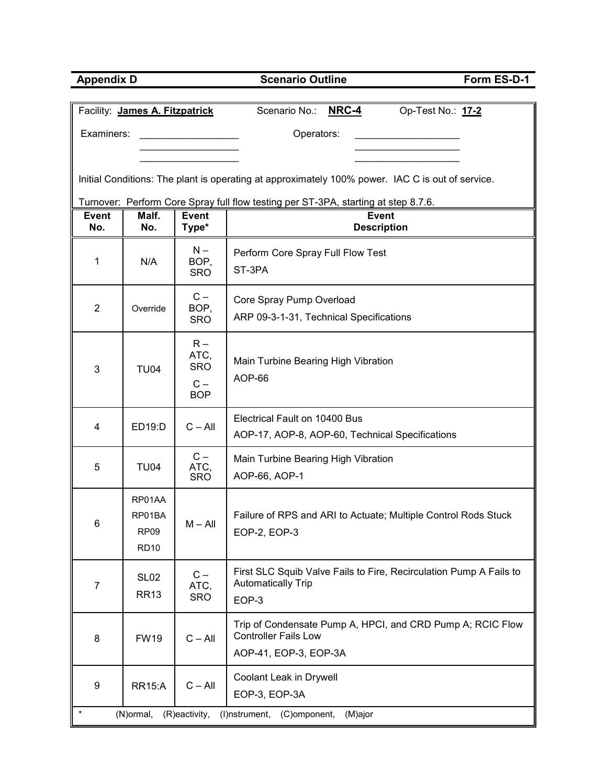| <b>Appendix D</b> |                                |                     | <b>Scenario Outline</b>                                                                          | Form ES-D-1       |  |  |  |  |  |  |  |  |  |  |
|-------------------|--------------------------------|---------------------|--------------------------------------------------------------------------------------------------|-------------------|--|--|--|--|--|--|--|--|--|--|
|                   |                                |                     |                                                                                                  |                   |  |  |  |  |  |  |  |  |  |  |
|                   | Facility: James A. Fitzpatrick |                     | <b>NRC-4</b><br>Scenario No.:                                                                    | Op-Test No.: 17-2 |  |  |  |  |  |  |  |  |  |  |
| Examiners:        |                                |                     | Operators:                                                                                       |                   |  |  |  |  |  |  |  |  |  |  |
|                   |                                |                     |                                                                                                  |                   |  |  |  |  |  |  |  |  |  |  |
|                   |                                |                     | Initial Conditions: The plant is operating at approximately 100% power. IAC C is out of service. |                   |  |  |  |  |  |  |  |  |  |  |
|                   |                                |                     | Turnover: Perform Core Spray full flow testing per ST-3PA, starting at step 8.7.6.               |                   |  |  |  |  |  |  |  |  |  |  |
| <b>Event</b>      | Malf.                          | <b>Event</b>        | <b>Event</b>                                                                                     |                   |  |  |  |  |  |  |  |  |  |  |
| No.               | No.                            | Type*               | <b>Description</b>                                                                               |                   |  |  |  |  |  |  |  |  |  |  |
| 1                 | N/A                            | $N -$<br>BOP,       | Perform Core Spray Full Flow Test                                                                |                   |  |  |  |  |  |  |  |  |  |  |
|                   |                                | <b>SRO</b>          | ST-3PA                                                                                           |                   |  |  |  |  |  |  |  |  |  |  |
|                   |                                | $C -$               | Core Spray Pump Overload                                                                         |                   |  |  |  |  |  |  |  |  |  |  |
| $\overline{2}$    | Override                       | BOP,                | ARP 09-3-1-31, Technical Specifications                                                          |                   |  |  |  |  |  |  |  |  |  |  |
|                   |                                | <b>SRO</b>          |                                                                                                  |                   |  |  |  |  |  |  |  |  |  |  |
|                   |                                | $R -$<br>ATC,       |                                                                                                  |                   |  |  |  |  |  |  |  |  |  |  |
| 3                 | <b>TU04</b>                    | <b>SRO</b>          | Main Turbine Bearing High Vibration                                                              |                   |  |  |  |  |  |  |  |  |  |  |
|                   |                                | $C -$<br><b>BOP</b> | AOP-66                                                                                           |                   |  |  |  |  |  |  |  |  |  |  |
|                   |                                |                     |                                                                                                  |                   |  |  |  |  |  |  |  |  |  |  |
| 4                 | ED19:D                         | $C - All$           | Electrical Fault on 10400 Bus                                                                    |                   |  |  |  |  |  |  |  |  |  |  |
|                   |                                |                     | AOP-17, AOP-8, AOP-60, Technical Specifications                                                  |                   |  |  |  |  |  |  |  |  |  |  |
| 5                 | <b>TU04</b>                    | $C -$<br>ATC,       | Main Turbine Bearing High Vibration                                                              |                   |  |  |  |  |  |  |  |  |  |  |
|                   |                                | <b>SRO</b>          | AOP-66, AOP-1                                                                                    |                   |  |  |  |  |  |  |  |  |  |  |
|                   | RP01AA                         |                     |                                                                                                  |                   |  |  |  |  |  |  |  |  |  |  |
| 6                 | RP01BA                         | $M - All$           | Failure of RPS and ARI to Actuate; Multiple Control Rods Stuck                                   |                   |  |  |  |  |  |  |  |  |  |  |
|                   | RP <sub>09</sub>               |                     | EOP-2, EOP-3                                                                                     |                   |  |  |  |  |  |  |  |  |  |  |
|                   | <b>RD10</b>                    |                     |                                                                                                  |                   |  |  |  |  |  |  |  |  |  |  |
| $\overline{7}$    | SL <sub>02</sub>               | $C -$<br>ATC,       | First SLC Squib Valve Fails to Fire, Recirculation Pump A Fails to<br><b>Automatically Trip</b>  |                   |  |  |  |  |  |  |  |  |  |  |
|                   | <b>RR13</b>                    | <b>SRO</b>          | EOP-3                                                                                            |                   |  |  |  |  |  |  |  |  |  |  |
|                   |                                |                     | Trip of Condensate Pump A, HPCI, and CRD Pump A; RCIC Flow                                       |                   |  |  |  |  |  |  |  |  |  |  |
| 8                 | <b>FW19</b>                    | $C - All$           | <b>Controller Fails Low</b>                                                                      |                   |  |  |  |  |  |  |  |  |  |  |
|                   |                                |                     | AOP-41, EOP-3, EOP-3A                                                                            |                   |  |  |  |  |  |  |  |  |  |  |
|                   |                                |                     | Coolant Leak in Drywell                                                                          |                   |  |  |  |  |  |  |  |  |  |  |
| 9                 | <b>RR15:A</b>                  | $C - All$           | EOP-3, EOP-3A                                                                                    |                   |  |  |  |  |  |  |  |  |  |  |
|                   | (N)ormal,                      | (R)eactivity,       | (I)nstrument,<br>(C)omponent,<br>(M)ajor                                                         |                   |  |  |  |  |  |  |  |  |  |  |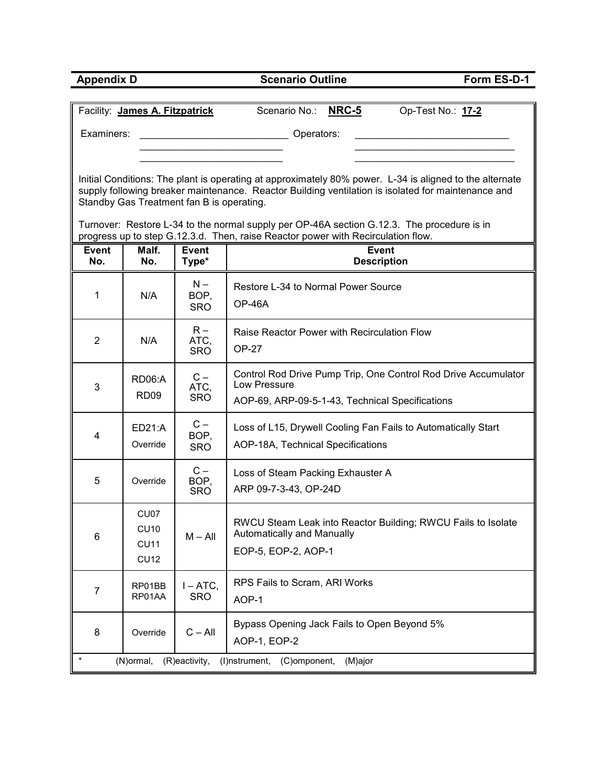| <b>Appendix D</b> |                                                   |                                           | <b>Scenario Outline</b>                                                                                                                                                                                       | Form ES-D-1       |  |  |  |  |  |  |  |  |  |
|-------------------|---------------------------------------------------|-------------------------------------------|---------------------------------------------------------------------------------------------------------------------------------------------------------------------------------------------------------------|-------------------|--|--|--|--|--|--|--|--|--|
|                   |                                                   |                                           |                                                                                                                                                                                                               |                   |  |  |  |  |  |  |  |  |  |
|                   | Facility: James A. Fitzpatrick                    |                                           | <b>NRC-5</b><br>Scenario No.:                                                                                                                                                                                 | Op-Test No.: 17-2 |  |  |  |  |  |  |  |  |  |
| Examiners:        |                                                   |                                           | Operators:                                                                                                                                                                                                    |                   |  |  |  |  |  |  |  |  |  |
|                   |                                                   |                                           |                                                                                                                                                                                                               |                   |  |  |  |  |  |  |  |  |  |
|                   |                                                   | Standby Gas Treatment fan B is operating. | Initial Conditions: The plant is operating at approximately 80% power. L-34 is aligned to the alternate<br>supply following breaker maintenance. Reactor Building ventilation is isolated for maintenance and |                   |  |  |  |  |  |  |  |  |  |
|                   |                                                   |                                           | Turnover: Restore L-34 to the normal supply per OP-46A section G.12.3. The procedure is in<br>progress up to step G.12.3.d. Then, raise Reactor power with Recirculation flow.                                |                   |  |  |  |  |  |  |  |  |  |
| Event             | Malf.                                             | <b>Event</b>                              | <b>Event</b>                                                                                                                                                                                                  |                   |  |  |  |  |  |  |  |  |  |
| No.               | No.                                               | Type*                                     | <b>Description</b>                                                                                                                                                                                            |                   |  |  |  |  |  |  |  |  |  |
| 1                 | N/A                                               | $N -$<br>BOP.<br><b>SRO</b>               | Restore L-34 to Normal Power Source<br>OP-46A                                                                                                                                                                 |                   |  |  |  |  |  |  |  |  |  |
| 2                 | N/A                                               | $R -$<br>ATC,<br><b>SRO</b>               | Raise Reactor Power with Recirculation Flow<br>$OP-27$                                                                                                                                                        |                   |  |  |  |  |  |  |  |  |  |
| 3                 | <b>RD06:A</b><br>RD <sub>09</sub>                 | $C -$<br>ATC,<br><b>SRO</b>               | Control Rod Drive Pump Trip, One Control Rod Drive Accumulator<br>Low Pressure<br>AOP-69, ARP-09-5-1-43, Technical Specifications                                                                             |                   |  |  |  |  |  |  |  |  |  |
| 4                 | ED21:A<br>Override                                | $C -$<br>BOP,<br><b>SRO</b>               | Loss of L15, Drywell Cooling Fan Fails to Automatically Start<br>AOP-18A, Technical Specifications                                                                                                            |                   |  |  |  |  |  |  |  |  |  |
| 5                 | Override                                          | $C -$<br>BOP,<br><b>SRO</b>               | Loss of Steam Packing Exhauster A<br>ARP 09-7-3-43, OP-24D                                                                                                                                                    |                   |  |  |  |  |  |  |  |  |  |
| 6                 | CU07<br><b>CU10</b><br><b>CU11</b><br><b>CU12</b> | $M - All$                                 | RWCU Steam Leak into Reactor Building; RWCU Fails to Isolate<br>Automatically and Manually<br>EOP-5, EOP-2, AOP-1                                                                                             |                   |  |  |  |  |  |  |  |  |  |
| $\overline{7}$    | RP01BB<br>RP01AA                                  | $I - ATC$ ,<br><b>SRO</b>                 | RPS Fails to Scram, ARI Works<br>AOP-1                                                                                                                                                                        |                   |  |  |  |  |  |  |  |  |  |
| 8                 | Override                                          | $C - All$                                 | Bypass Opening Jack Fails to Open Beyond 5%<br>AOP-1, EOP-2                                                                                                                                                   |                   |  |  |  |  |  |  |  |  |  |
|                   | (N)ormal,                                         | (R)eactivity,                             | (I)nstrument,<br>(C)omponent,<br>(M)ajor                                                                                                                                                                      |                   |  |  |  |  |  |  |  |  |  |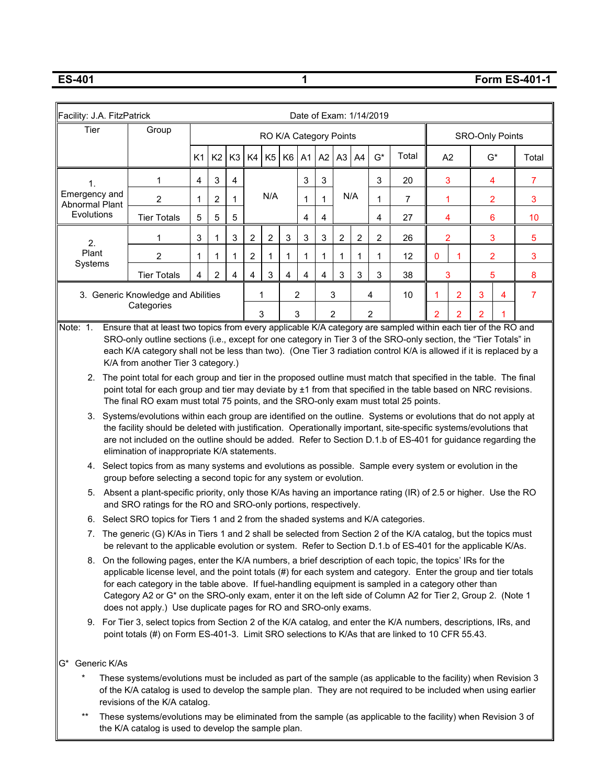**ES-401 1 Form ES-401-1**

| Facility: J.A. FitzPatrick                                                                                                       | Date of Exam: 1/14/2019                                                                                                                                                                                                                                                                                                                                                                                                                                                                                                                                                                                                                                                                                                                                                                                                                                                                                                                                                                                                                                                                                                                                                                                                                                                                                                                                                                                                                                                             |                |    |                |    |                |           |    |    |           |   |       |       |                        |                |       |                |
|----------------------------------------------------------------------------------------------------------------------------------|-------------------------------------------------------------------------------------------------------------------------------------------------------------------------------------------------------------------------------------------------------------------------------------------------------------------------------------------------------------------------------------------------------------------------------------------------------------------------------------------------------------------------------------------------------------------------------------------------------------------------------------------------------------------------------------------------------------------------------------------------------------------------------------------------------------------------------------------------------------------------------------------------------------------------------------------------------------------------------------------------------------------------------------------------------------------------------------------------------------------------------------------------------------------------------------------------------------------------------------------------------------------------------------------------------------------------------------------------------------------------------------------------------------------------------------------------------------------------------------|----------------|----|----------------|----|----------------|-----------|----|----|-----------|---|-------|-------|------------------------|----------------|-------|----------------|
| Tier<br>Group<br>RO K/A Category Points                                                                                          |                                                                                                                                                                                                                                                                                                                                                                                                                                                                                                                                                                                                                                                                                                                                                                                                                                                                                                                                                                                                                                                                                                                                                                                                                                                                                                                                                                                                                                                                                     |                |    |                |    |                |           |    |    |           |   |       |       | <b>SRO-Only Points</b> |                |       |                |
|                                                                                                                                  |                                                                                                                                                                                                                                                                                                                                                                                                                                                                                                                                                                                                                                                                                                                                                                                                                                                                                                                                                                                                                                                                                                                                                                                                                                                                                                                                                                                                                                                                                     | K <sub>1</sub> | K2 | K <sub>3</sub> | K4 |                | $K5$ $K6$ | A1 | A2 | $A3$ $A4$ |   | $G^*$ | Total | A <sub>2</sub>         |                | $G^*$ | Total          |
| 1.                                                                                                                               | 1                                                                                                                                                                                                                                                                                                                                                                                                                                                                                                                                                                                                                                                                                                                                                                                                                                                                                                                                                                                                                                                                                                                                                                                                                                                                                                                                                                                                                                                                                   | 4              | 3  | 4              |    |                |           | 3  | 3  |           |   | 3     | 20    | 3                      |                | 4     | $\overline{7}$ |
| Emergency and<br>Abnormal Plant                                                                                                  | $\overline{2}$                                                                                                                                                                                                                                                                                                                                                                                                                                                                                                                                                                                                                                                                                                                                                                                                                                                                                                                                                                                                                                                                                                                                                                                                                                                                                                                                                                                                                                                                      | 1              | 2  | 1              |    | N/A            |           | 1  | 1  | N/A       |   | 1     | 7     | 1                      |                | 2     | 3              |
| Evolutions                                                                                                                       | <b>Tier Totals</b>                                                                                                                                                                                                                                                                                                                                                                                                                                                                                                                                                                                                                                                                                                                                                                                                                                                                                                                                                                                                                                                                                                                                                                                                                                                                                                                                                                                                                                                                  | 5              | 5  | 5              |    |                |           | 4  | 4  |           |   | 4     | 27    | 4                      |                | 6     | 10             |
| 2.                                                                                                                               | 1                                                                                                                                                                                                                                                                                                                                                                                                                                                                                                                                                                                                                                                                                                                                                                                                                                                                                                                                                                                                                                                                                                                                                                                                                                                                                                                                                                                                                                                                                   | 3              |    | 3              | 2  | $\overline{c}$ | 3         | 3  | 3  | 2         | 2 | 2     | 26    | 2                      |                | 3     | 5              |
| Plant<br>Systems                                                                                                                 | $\overline{c}$                                                                                                                                                                                                                                                                                                                                                                                                                                                                                                                                                                                                                                                                                                                                                                                                                                                                                                                                                                                                                                                                                                                                                                                                                                                                                                                                                                                                                                                                      | 1              | 1  | 1              | 2  | 1              | 1         | 1  | 1  | 1         | 1 | 1     | 12    | 0                      | 1              | 2     | 3              |
|                                                                                                                                  | 3<br><b>Tier Totals</b><br>2<br>4<br>4<br>4<br>4<br>3<br>3<br>3<br>3<br>5<br>4<br>4<br>38                                                                                                                                                                                                                                                                                                                                                                                                                                                                                                                                                                                                                                                                                                                                                                                                                                                                                                                                                                                                                                                                                                                                                                                                                                                                                                                                                                                           |                |    |                |    |                |           |    |    |           |   |       |       |                        | 8              |       |                |
|                                                                                                                                  | 3. Generic Knowledge and Abilities<br>1<br>2<br>3<br>10<br>$\overline{2}$<br>3<br>4<br>4<br>Categories                                                                                                                                                                                                                                                                                                                                                                                                                                                                                                                                                                                                                                                                                                                                                                                                                                                                                                                                                                                                                                                                                                                                                                                                                                                                                                                                                                              |                |    |                |    |                |           |    |    |           |   |       |       |                        | $\overline{7}$ |       |                |
|                                                                                                                                  | 3<br>3<br>2<br>2<br>2<br>2<br>Ensure that at least two topics from every applicable K/A category are sampled within each tier of the RO and<br>Note: 1.                                                                                                                                                                                                                                                                                                                                                                                                                                                                                                                                                                                                                                                                                                                                                                                                                                                                                                                                                                                                                                                                                                                                                                                                                                                                                                                             |                |    |                |    |                |           |    |    |           |   |       |       |                        |                |       |                |
| 4.<br>5.<br>The generic (G) K/As in Tiers 1 and 2 shall be selected from Section 2 of the K/A catalog, but the topics must<br>7. | SRO-only outline sections (i.e., except for one category in Tier 3 of the SRO-only section, the "Tier Totals" in<br>each K/A category shall not be less than two). (One Tier 3 radiation control K/A is allowed if it is replaced by a<br>K/A from another Tier 3 category.)<br>2. The point total for each group and tier in the proposed outline must match that specified in the table. The final<br>point total for each group and tier may deviate by ±1 from that specified in the table based on NRC revisions.<br>The final RO exam must total 75 points, and the SRO-only exam must total 25 points.<br>3. Systems/evolutions within each group are identified on the outline. Systems or evolutions that do not apply at<br>the facility should be deleted with justification. Operationally important, site-specific systems/evolutions that<br>are not included on the outline should be added. Refer to Section D.1.b of ES-401 for guidance regarding the<br>elimination of inappropriate K/A statements.<br>Select topics from as many systems and evolutions as possible. Sample every system or evolution in the<br>group before selecting a second topic for any system or evolution.<br>Absent a plant-specific priority, only those K/As having an importance rating (IR) of 2.5 or higher. Use the RO<br>and SRO ratings for the RO and SRO-only portions, respectively.<br>6. Select SRO topics for Tiers 1 and 2 from the shaded systems and K/A categories. |                |    |                |    |                |           |    |    |           |   |       |       |                        |                |       |                |
|                                                                                                                                  | be relevant to the applicable evolution or system. Refer to Section D.1.b of ES-401 for the applicable K/As.<br>8. On the following pages, enter the K/A numbers, a brief description of each topic, the topics' IRs for the<br>applicable license level, and the point totals (#) for each system and category. Enter the group and tier totals<br>for each category in the table above. If fuel-handling equipment is sampled in a category other than<br>Category A2 or G* on the SRO-only exam, enter it on the left side of Column A2 for Tier 2, Group 2. (Note 1<br>does not apply.) Use duplicate pages for RO and SRO-only exams.<br>9. For Tier 3, select topics from Section 2 of the K/A catalog, and enter the K/A numbers, descriptions, IRs, and<br>point totals (#) on Form ES-401-3. Limit SRO selections to K/As that are linked to 10 CFR 55.43.                                                                                                                                                                                                                                                                                                                                                                                                                                                                                                                                                                                                                 |                |    |                |    |                |           |    |    |           |   |       |       |                        |                |       |                |
| Generic K/As<br>'G*                                                                                                              |                                                                                                                                                                                                                                                                                                                                                                                                                                                                                                                                                                                                                                                                                                                                                                                                                                                                                                                                                                                                                                                                                                                                                                                                                                                                                                                                                                                                                                                                                     |                |    |                |    |                |           |    |    |           |   |       |       |                        |                |       |                |
|                                                                                                                                  | These systems/evolutions must be included as part of the sample (as applicable to the facility) when Revision 3<br>of the K/A catalog is used to develop the sample plan. They are not required to be included when using earlier<br>revisions of the K/A catalog.                                                                                                                                                                                                                                                                                                                                                                                                                                                                                                                                                                                                                                                                                                                                                                                                                                                                                                                                                                                                                                                                                                                                                                                                                  |                |    |                |    |                |           |    |    |           |   |       |       |                        |                |       |                |
| $^{\star\star}$                                                                                                                  | These systems/evolutions may be eliminated from the sample (as applicable to the facility) when Revision 3 of<br>the K/A catalog is used to develop the sample plan.                                                                                                                                                                                                                                                                                                                                                                                                                                                                                                                                                                                                                                                                                                                                                                                                                                                                                                                                                                                                                                                                                                                                                                                                                                                                                                                |                |    |                |    |                |           |    |    |           |   |       |       |                        |                |       |                |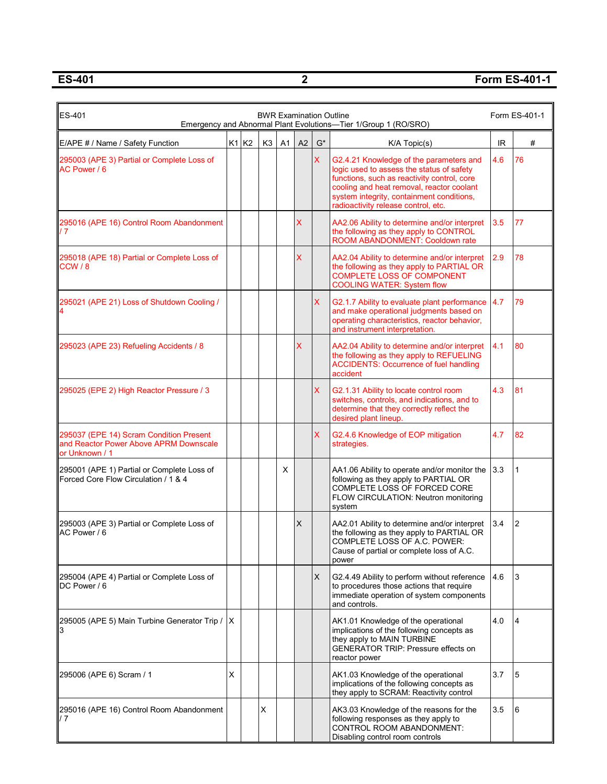**ES-401 2 Form ES-401-1**

| ES-401<br>Form ES-401-1<br><b>BWR Examination Outline</b><br>Emergency and Abnormal Plant Evolutions-Tier 1/Group 1 (RO/SRO) |   |       |                |                |    |                    |                                                                                                                                                                                                                                                                      |     |                |  |  |  |
|------------------------------------------------------------------------------------------------------------------------------|---|-------|----------------|----------------|----|--------------------|----------------------------------------------------------------------------------------------------------------------------------------------------------------------------------------------------------------------------------------------------------------------|-----|----------------|--|--|--|
| E/APE # / Name / Safety Function                                                                                             |   | K1 K2 | K <sub>3</sub> | A <sub>1</sub> | A2 | $\mathsf{G}^\star$ | K/A Topic(s)                                                                                                                                                                                                                                                         | IR. | #              |  |  |  |
| 295003 (APE 3) Partial or Complete Loss of<br>AC Power / 6                                                                   |   |       |                |                |    | $\mathsf{X}$       | G2.4.21 Knowledge of the parameters and<br>logic used to assess the status of safety<br>functions, such as reactivity control, core<br>cooling and heat removal, reactor coolant<br>system integrity, containment conditions,<br>radioactivity release control, etc. | 4.6 | 76             |  |  |  |
| 295016 (APE 16) Control Room Abandonment<br>17                                                                               |   |       |                |                | X  |                    | AA2.06 Ability to determine and/or interpret<br>the following as they apply to CONTROL<br>ROOM ABANDONMENT: Cooldown rate                                                                                                                                            | 3.5 | 77             |  |  |  |
| 295018 (APE 18) Partial or Complete Loss of<br>CCW / 8                                                                       |   |       |                |                | X  |                    | AA2.04 Ability to determine and/or interpret<br>the following as they apply to PARTIAL OR<br><b>COMPLETE LOSS OF COMPONENT</b><br><b>COOLING WATER: System flow</b>                                                                                                  | 2.9 | 78             |  |  |  |
| 295021 (APE 21) Loss of Shutdown Cooling /                                                                                   |   |       |                |                |    | X                  | G2.1.7 Ability to evaluate plant performance<br>and make operational judgments based on<br>operating characteristics, reactor behavior,<br>and instrument interpretation.                                                                                            | 4.7 | 79             |  |  |  |
| 295023 (APE 23) Refueling Accidents / 8                                                                                      |   |       |                |                | X  |                    | AA2.04 Ability to determine and/or interpret<br>the following as they apply to REFUELING<br><b>ACCIDENTS: Occurrence of fuel handling</b><br>accident                                                                                                                | 4.1 | 80             |  |  |  |
| 295025 (EPE 2) High Reactor Pressure / 3                                                                                     |   |       |                |                |    | X                  | G2.1.31 Ability to locate control room<br>switches, controls, and indications, and to<br>determine that they correctly reflect the<br>desired plant lineup.                                                                                                          | 4.3 | 81             |  |  |  |
| 295037 (EPE 14) Scram Condition Present<br>and Reactor Power Above APRM Downscale<br>or Unknown / 1                          |   |       |                |                |    | X                  | G2.4.6 Knowledge of EOP mitigation<br>strategies.                                                                                                                                                                                                                    | 4.7 | 82             |  |  |  |
| 295001 (APE 1) Partial or Complete Loss of<br>Forced Core Flow Circulation / 1 & 4                                           |   |       |                | Х              |    |                    | AA1.06 Ability to operate and/or monitor the<br>following as they apply to PARTIAL OR<br>COMPLETE LOSS OF FORCED CORE<br>FLOW CIRCULATION: Neutron monitoring<br>system                                                                                              | 3.3 | 1              |  |  |  |
| 295003 (APE 3) Partial or Complete Loss of<br>AC Power / 6                                                                   |   |       |                |                | X  |                    | AA2.01 Ability to determine and/or interpret<br>the following as they apply to PARTIAL OR<br>COMPLETE LOSS OF A.C. POWER:<br>Cause of partial or complete loss of A.C.<br>power                                                                                      | 3.4 | $\overline{2}$ |  |  |  |
| 295004 (APE 4) Partial or Complete Loss of<br>DC Power / 6                                                                   |   |       |                |                |    | X                  | G2.4.49 Ability to perform without reference<br>to procedures those actions that require<br>immediate operation of system components<br>and controls.                                                                                                                | 4.6 | 3              |  |  |  |
| 295005 (APE 5) Main Turbine Generator Trip /<br>3                                                                            | X |       |                |                |    |                    | AK1.01 Knowledge of the operational<br>implications of the following concepts as<br>they apply to MAIN TURBINE<br>GENERATOR TRIP: Pressure effects on<br>reactor power                                                                                               | 4.0 | 4              |  |  |  |
| 295006 (APE 6) Scram / 1                                                                                                     | х |       |                |                |    |                    | AK1.03 Knowledge of the operational<br>implications of the following concepts as<br>they apply to SCRAM: Reactivity control                                                                                                                                          | 3.7 | 5              |  |  |  |
| 295016 (APE 16) Control Room Abandonment<br>17                                                                               |   |       | X              |                |    |                    | AK3.03 Knowledge of the reasons for the<br>following responses as they apply to<br>CONTROL ROOM ABANDONMENT:<br>Disabling control room controls                                                                                                                      | 3.5 | 6              |  |  |  |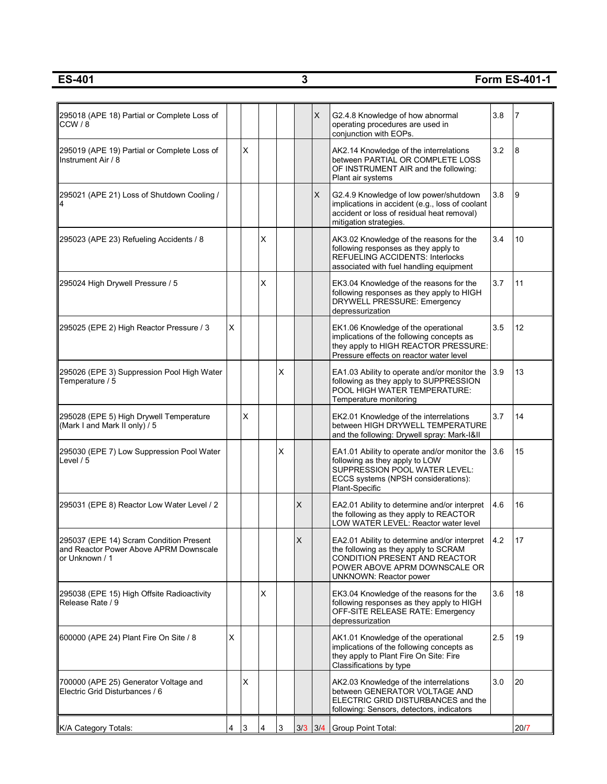**ES-401 3 Form ES-401-1**

| 295018 (APE 18) Partial or Complete Loss of<br>CCW / 8                                              |   |   |                         |   |   | X           | G2.4.8 Knowledge of how abnormal<br>operating procedures are used in<br>conjunction with EOPs.                                                                                   | 3.8 | 7    |
|-----------------------------------------------------------------------------------------------------|---|---|-------------------------|---|---|-------------|----------------------------------------------------------------------------------------------------------------------------------------------------------------------------------|-----|------|
| 295019 (APE 19) Partial or Complete Loss of<br>Instrument Air / 8                                   |   | X |                         |   |   |             | AK2.14 Knowledge of the interrelations<br>between PARTIAL OR COMPLETE LOSS<br>OF INSTRUMENT AIR and the following:<br>Plant air systems                                          | 3.2 | 8    |
| 295021 (APE 21) Loss of Shutdown Cooling /                                                          |   |   |                         |   |   | X           | G2.4.9 Knowledge of low power/shutdown<br>implications in accident (e.g., loss of coolant<br>accident or loss of residual heat removal)<br>mitigation strategies.                | 3.8 | 9    |
| 295023 (APE 23) Refueling Accidents / 8                                                             |   |   | X                       |   |   |             | AK3.02 Knowledge of the reasons for the<br>following responses as they apply to<br><b>REFUELING ACCIDENTS: Interlocks</b><br>associated with fuel handling equipment             | 3.4 | 10   |
| 295024 High Drywell Pressure / 5                                                                    |   |   | X                       |   |   |             | EK3.04 Knowledge of the reasons for the<br>following responses as they apply to HIGH<br>DRYWELL PRESSURE: Emergency<br>depressurization                                          | 3.7 | 11   |
| 295025 (EPE 2) High Reactor Pressure / 3                                                            | х |   |                         |   |   |             | EK1.06 Knowledge of the operational<br>implications of the following concepts as<br>they apply to HIGH REACTOR PRESSURE:<br>Pressure effects on reactor water level              | 3.5 | 12   |
| 295026 (EPE 3) Suppression Pool High Water<br>Temperature / 5                                       |   |   |                         | X |   |             | EA1.03 Ability to operate and/or monitor the<br>following as they apply to SUPPRESSION<br>POOL HIGH WATER TEMPERATURE:<br>Temperature monitoring                                 | 3.9 | 13   |
| 295028 (EPE 5) High Drywell Temperature<br>(Mark I and Mark II only) / 5                            |   | X |                         |   |   |             | EK2.01 Knowledge of the interrelations<br>between HIGH DRYWELL TEMPERATURE<br>and the following: Drywell spray: Mark-I&II                                                        | 3.7 | 14   |
| 295030 (EPE 7) Low Suppression Pool Water<br>Level / 5                                              |   |   |                         | X |   |             | EA1.01 Ability to operate and/or monitor the<br>following as they apply to LOW<br>SUPPRESSION POOL WATER LEVEL:<br>ECCS systems (NPSH considerations):<br>Plant-Specific         | 3.6 | 15   |
| 295031 (EPE 8) Reactor Low Water Level / 2                                                          |   |   |                         |   | X |             | EA2.01 Ability to determine and/or interpret<br>the following as they apply to REACTOR<br>LOW WATER LEVEL: Reactor water level                                                   | 4.6 | 16   |
| 295037 (EPE 14) Scram Condition Present<br>and Reactor Power Above APRM Downscale<br>or Unknown / 1 |   |   |                         |   | X |             | EA2.01 Ability to determine and/or interpret<br>the following as they apply to SCRAM<br>CONDITION PRESENT AND REACTOR<br>POWER ABOVE APRM DOWNSCALE OR<br>UNKNOWN: Reactor power | 4.2 | 17   |
| 295038 (EPE 15) High Offsite Radioactivity<br>Release Rate / 9                                      |   |   | X                       |   |   |             | EK3.04 Knowledge of the reasons for the<br>following responses as they apply to HIGH<br>OFF-SITE RELEASE RATE: Emergency<br>depressurization                                     | 3.6 | 18   |
| 600000 (APE 24) Plant Fire On Site / 8                                                              | X |   |                         |   |   |             | AK1.01 Knowledge of the operational<br>implications of the following concepts as<br>they apply to Plant Fire On Site: Fire<br>Classifications by type                            | 2.5 | 19   |
| 700000 (APE 25) Generator Voltage and<br>Electric Grid Disturbances / 6                             |   | X |                         |   |   |             | AK2.03 Knowledge of the interrelations<br>between GENERATOR VOLTAGE AND<br>ELECTRIC GRID DISTURBANCES and the<br>following: Sensors, detectors, indicators                       | 3.0 | 20   |
| K/A Category Totals:                                                                                | 4 | 3 | $\overline{\mathbf{4}}$ | 3 |   | $3/3$ $3/4$ | Group Point Total:                                                                                                                                                               |     | 20/7 |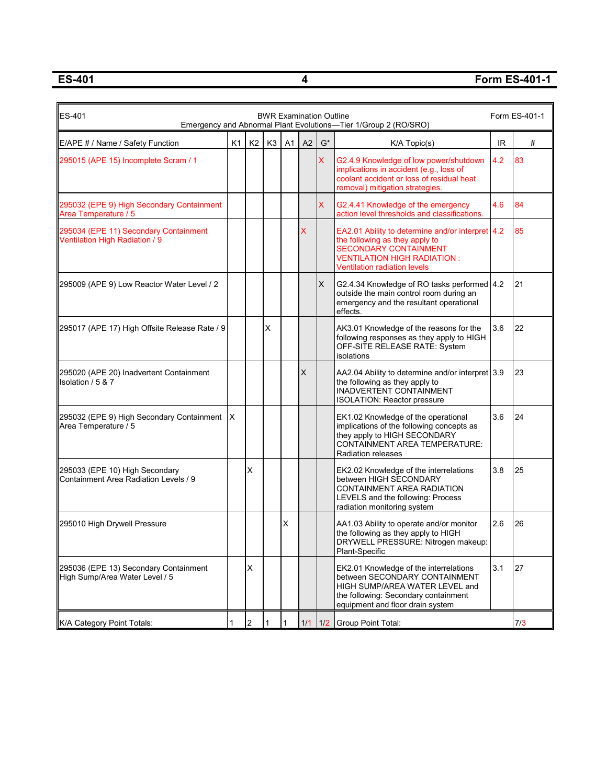**ES-401 4 Form ES-401-1**

| ES-401                                                                  |    |                |                |    | <b>BWR Examination Outline</b> |              | Emergency and Abnormal Plant Evolutions-Tier 1/Group 2 (RO/SRO)                                                                                                                          |     | Form ES-401-1 |
|-------------------------------------------------------------------------|----|----------------|----------------|----|--------------------------------|--------------|------------------------------------------------------------------------------------------------------------------------------------------------------------------------------------------|-----|---------------|
| E/APE # / Name / Safety Function                                        | K1 | K <sub>2</sub> | K <sub>3</sub> | A1 | A2                             | $G^*$        | $K/A$ Topic(s)                                                                                                                                                                           | IR  | #             |
| 295015 (APE 15) Incomplete Scram / 1                                    |    |                |                |    |                                | $\mathsf{X}$ | G2.4.9 Knowledge of low power/shutdown<br>implications in accident (e.g., loss of<br>coolant accident or loss of residual heat<br>removal) mitigation strategies.                        | 4.2 | 83            |
| 295032 (EPE 9) High Secondary Containment<br>Area Temperature / 5       |    |                |                |    |                                | $\mathsf{X}$ | G2.4.41 Knowledge of the emergency<br>action level thresholds and classifications.                                                                                                       | 4.6 | 84            |
| 295034 (EPE 11) Secondary Containment<br>Ventilation High Radiation / 9 |    |                |                |    | X.                             |              | EA2.01 Ability to determine and/or interpret 4.2<br>the following as they apply to<br><b>SECONDARY CONTAINMENT</b><br><b>VENTILATION HIGH RADIATION:</b><br>Ventilation radiation levels |     | 85            |
| 295009 (APE 9) Low Reactor Water Level / 2                              |    |                |                |    |                                | X            | G2.4.34 Knowledge of RO tasks performed   4.2<br>outside the main control room during an<br>emergency and the resultant operational<br>effects.                                          |     | 21            |
| 295017 (APE 17) High Offsite Release Rate / 9                           |    |                | X              |    |                                |              | AK3.01 Knowledge of the reasons for the<br>following responses as they apply to HIGH<br>OFF-SITE RELEASE RATE: System<br>isolations                                                      | 3.6 | 22            |
| 295020 (APE 20) Inadvertent Containment<br>Isolation / 5 & 7            |    |                |                |    | X                              |              | AA2.04 Ability to determine and/or interpret 3.9<br>the following as they apply to<br>INADVERTENT CONTAINMENT<br><b>ISOLATION: Reactor pressure</b>                                      |     | 23            |
| 295032 (EPE 9) High Secondary Containment<br>Area Temperature / 5       | ΙX |                |                |    |                                |              | EK1.02 Knowledge of the operational<br>implications of the following concepts as<br>they apply to HIGH SECONDARY<br><b>CONTAINMENT AREA TEMPERATURE:</b><br><b>Radiation releases</b>    | 3.6 | 24            |
| 295033 (EPE 10) High Secondary<br>Containment Area Radiation Levels / 9 |    | X              |                |    |                                |              | EK2.02 Knowledge of the interrelations<br>between HIGH SECONDARY<br><b>CONTAINMENT AREA RADIATION</b><br>LEVELS and the following: Process<br>radiation monitoring system                | 3.8 | 25            |
| 295010 High Drywell Pressure                                            |    |                |                | X  |                                |              | AA1.03 Ability to operate and/or monitor<br>the following as they apply to HIGH<br>DRYWELL PRESSURE: Nitrogen makeup:<br>Plant-Specific                                                  | 2.6 | 26            |
| 295036 (EPE 13) Secondary Containment<br>High Sump/Area Water Level / 5 |    | X              |                |    |                                |              | EK2.01 Knowledge of the interrelations<br>between SECONDARY CONTAINMENT<br>HIGH SUMP/AREA WATER LEVEL and<br>the following: Secondary containment<br>equipment and floor drain system    | 3.1 | 27            |
| K/A Category Point Totals:                                              | 1  | $\overline{c}$ |                | 1  | 1/1                            | 1/2          | Group Point Total:                                                                                                                                                                       |     | 7/3           |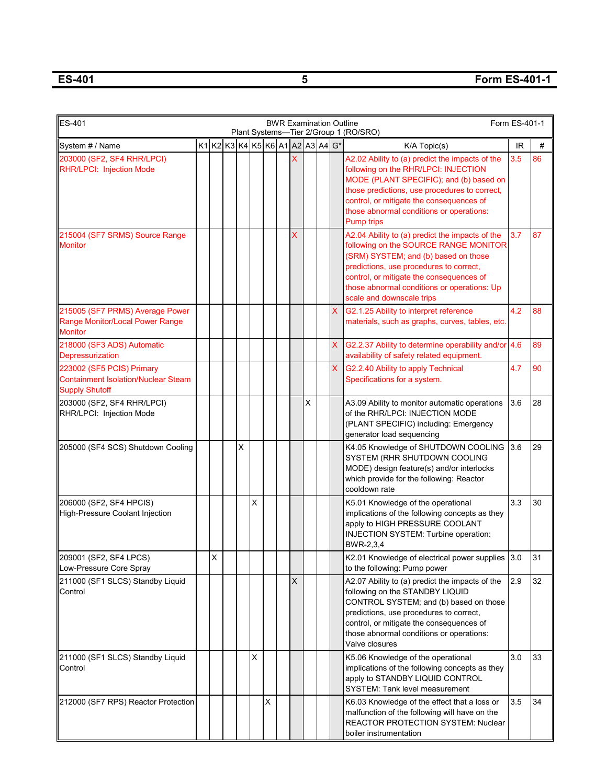**ES-401 5 Form ES-401-1**

| <b>ES-401</b><br>Form ES-401-1<br><b>BWR Examination Outline</b><br>Plant Systems-Tier 2/Group 1 (RO/SRO)<br>$K1K2K3K4K5K6A1A2A3A4G*$ |  |   |  |   |   |   |  |                           |   |  |                           |                                                                                                                                                                                                                                                                                                     |           |    |
|---------------------------------------------------------------------------------------------------------------------------------------|--|---|--|---|---|---|--|---------------------------|---|--|---------------------------|-----------------------------------------------------------------------------------------------------------------------------------------------------------------------------------------------------------------------------------------------------------------------------------------------------|-----------|----|
| System # / Name                                                                                                                       |  |   |  |   |   |   |  |                           |   |  |                           | K/A Topic(s)                                                                                                                                                                                                                                                                                        | <b>IR</b> | #  |
| 203000 (SF2, SF4 RHR/LPCI)<br><b>RHR/LPCI: Injection Mode</b>                                                                         |  |   |  |   |   |   |  | X                         |   |  |                           | A2.02 Ability to (a) predict the impacts of the<br>following on the RHR/LPCI: INJECTION<br>MODE (PLANT SPECIFIC); and (b) based on<br>those predictions, use procedures to correct,<br>control, or mitigate the consequences of<br>those abnormal conditions or operations:<br><b>Pump trips</b>    | 3.5       | 86 |
| 215004 (SF7 SRMS) Source Range<br><b>Monitor</b>                                                                                      |  |   |  |   |   |   |  | X                         |   |  |                           | A2.04 Ability to (a) predict the impacts of the<br>following on the SOURCE RANGE MONITOR<br>(SRM) SYSTEM; and (b) based on those<br>predictions, use procedures to correct,<br>control, or mitigate the consequences of<br>those abnormal conditions or operations: Up<br>scale and downscale trips | 3.7       | 87 |
| 215005 (SF7 PRMS) Average Power<br>Range Monitor/Local Power Range<br><b>Monitor</b>                                                  |  |   |  |   |   |   |  |                           |   |  | $\boldsymbol{\mathsf{X}}$ | G2.1.25 Ability to interpret reference<br>materials, such as graphs, curves, tables, etc.                                                                                                                                                                                                           | 4.2       | 88 |
| 218000 (SF3 ADS) Automatic<br>Depressurization                                                                                        |  |   |  |   |   |   |  |                           |   |  | X.                        | G2.2.37 Ability to determine operability and/or 4.6<br>availability of safety related equipment.                                                                                                                                                                                                    |           | 89 |
| 223002 (SF5 PCIS) Primary<br><b>Containment Isolation/Nuclear Steam</b><br><b>Supply Shutoff</b>                                      |  |   |  |   |   |   |  |                           |   |  | $\mathsf{X}$              | G2.2.40 Ability to apply Technical<br>Specifications for a system.                                                                                                                                                                                                                                  | 4.7       | 90 |
| 203000 (SF2, SF4 RHR/LPCI)<br>RHR/LPCI: Injection Mode                                                                                |  |   |  |   |   |   |  |                           | Χ |  |                           | A3.09 Ability to monitor automatic operations<br>of the RHR/LPCI: INJECTION MODE<br>(PLANT SPECIFIC) including: Emergency<br>generator load sequencing                                                                                                                                              | 3.6       | 28 |
| 205000 (SF4 SCS) Shutdown Cooling                                                                                                     |  |   |  | X |   |   |  |                           |   |  |                           | K4.05 Knowledge of SHUTDOWN COOLING<br>SYSTEM (RHR SHUTDOWN COOLING<br>MODE) design feature(s) and/or interlocks<br>which provide for the following: Reactor<br>cooldown rate                                                                                                                       | 3.6       | 29 |
| 206000 (SF2, SF4 HPCIS)<br>High-Pressure Coolant Injection                                                                            |  |   |  |   | X |   |  |                           |   |  |                           | K5.01 Knowledge of the operational<br>implications of the following concepts as they<br>apply to HIGH PRESSURE COOLANT<br>INJECTION SYSTEM: Turbine operation:<br>BWR-2,3,4                                                                                                                         | 3.3       | 30 |
| 209001 (SF2, SF4 LPCS)<br>Low-Pressure Core Spray                                                                                     |  | X |  |   |   |   |  |                           |   |  |                           | K2.01 Knowledge of electrical power supplies 3.0<br>to the following: Pump power                                                                                                                                                                                                                    |           | 31 |
| 211000 (SF1 SLCS) Standby Liquid<br>Control                                                                                           |  |   |  |   |   |   |  | $\boldsymbol{\mathsf{X}}$ |   |  |                           | A2.07 Ability to (a) predict the impacts of the<br>following on the STANDBY LIQUID<br>CONTROL SYSTEM; and (b) based on those<br>predictions, use procedures to correct,<br>control, or mitigate the consequences of<br>those abnormal conditions or operations:<br>Valve closures                   | 2.9       | 32 |
| 211000 (SF1 SLCS) Standby Liquid<br>Control                                                                                           |  |   |  |   | Χ |   |  |                           |   |  |                           | K5.06 Knowledge of the operational<br>implications of the following concepts as they<br>apply to STANDBY LIQUID CONTROL<br><b>SYSTEM: Tank level measurement</b>                                                                                                                                    | 3.0       | 33 |
| 212000 (SF7 RPS) Reactor Protection                                                                                                   |  |   |  |   |   | X |  |                           |   |  |                           | K6.03 Knowledge of the effect that a loss or<br>malfunction of the following will have on the<br><b>REACTOR PROTECTION SYSTEM: Nuclear</b><br>boiler instrumentation                                                                                                                                | 3.5       | 34 |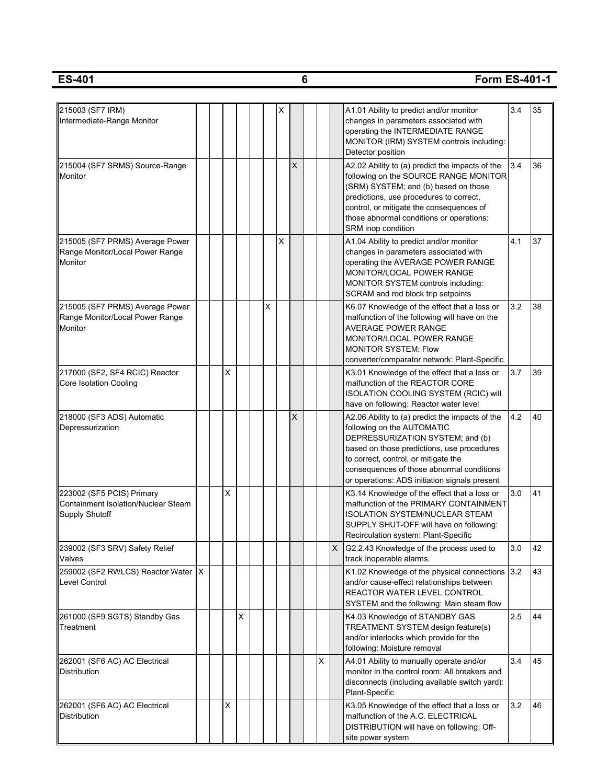| 215003 (SF7 IRM)<br>Intermediate-Range Monitor                                            |  |                |   |          | х |          |                |   | A1.01 Ability to predict and/or monitor<br>changes in parameters associated with<br>operating the INTERMEDIATE RANGE<br>MONITOR (IRM) SYSTEM controls including:<br>Detector position                                                                                                                 | 3.4 | 35 |
|-------------------------------------------------------------------------------------------|--|----------------|---|----------|---|----------|----------------|---|-------------------------------------------------------------------------------------------------------------------------------------------------------------------------------------------------------------------------------------------------------------------------------------------------------|-----|----|
| 215004 (SF7 SRMS) Source-Range<br>Monitor                                                 |  |                |   |          |   | $\times$ |                |   | A2.02 Ability to (a) predict the impacts of the<br>following on the SOURCE RANGE MONITOR<br>(SRM) SYSTEM; and (b) based on those<br>predictions, use procedures to correct,<br>control, or mitigate the consequences of<br>those abnormal conditions or operations:<br>SRM inop condition             | 3.4 | 36 |
| 215005 (SF7 PRMS) Average Power<br>Range Monitor/Local Power Range<br>Monitor             |  |                |   |          | X |          |                |   | A1.04 Ability to predict and/or monitor<br>changes in parameters associated with<br>operating the AVERAGE POWER RANGE<br>MONITOR/LOCAL POWER RANGE<br>MONITOR SYSTEM controls including:<br>SCRAM and rod block trip setpoints                                                                        | 4.1 | 37 |
| 215005 (SF7 PRMS) Average Power<br>Range Monitor/Local Power Range<br>Monitor             |  |                |   | $\times$ |   |          |                |   | K6.07 Knowledge of the effect that a loss or<br>malfunction of the following will have on the<br><b>AVERAGE POWER RANGE</b><br>MONITOR/LOCAL POWER RANGE<br><b>MONITOR SYSTEM: Flow</b><br>converter/comparator network: Plant-Specific                                                               | 3.2 | 38 |
| 217000 (SF2, SF4 RCIC) Reactor<br>Core Isolation Cooling                                  |  | $\pmb{\times}$ |   |          |   |          |                |   | K3.01 Knowledge of the effect that a loss or<br>malfunction of the REACTOR CORE<br>ISOLATION COOLING SYSTEM (RCIC) will<br>have on following: Reactor water level                                                                                                                                     | 3.7 | 39 |
| 218000 (SF3 ADS) Automatic<br>Depressurization                                            |  |                |   |          |   | X        |                |   | A2.06 Ability to (a) predict the impacts of the<br>following on the AUTOMATIC<br>DEPRESSURIZATION SYSTEM; and (b)<br>based on those predictions, use procedures<br>to correct, control, or mitigate the<br>consequences of those abnormal conditions<br>or operations: ADS initiation signals present | 4.2 | 40 |
| 223002 (SF5 PCIS) Primary<br><b>Containment Isolation/Nuclear Steam</b><br>Supply Shutoff |  | X              |   |          |   |          |                |   | K3.14 Knowledge of the effect that a loss or<br>malfunction of the PRIMARY CONTAINMENT<br><b>ISOLATION SYSTEM/NUCLEAR STEAM</b><br>SUPPLY SHUT-OFF will have on following:<br>Recirculation system: Plant-Specific                                                                                    | 3.0 | 41 |
| 239002 (SF3 SRV) Safety Relief<br>Valves                                                  |  |                |   |          |   |          |                | X | G2.2.43 Knowledge of the process used to<br>track inoperable alarms.                                                                                                                                                                                                                                  | 3.0 | 42 |
| 259002 (SF2 RWLCS) Reactor Water  X<br>Level Control                                      |  |                |   |          |   |          |                |   | K1.02 Knowledge of the physical connections 3.2<br>and/or cause-effect relationships between<br><b>REACTOR WATER LEVEL CONTROL</b><br>SYSTEM and the following: Main steam flow                                                                                                                       |     | 43 |
| 261000 (SF9 SGTS) Standby Gas<br>Treatment                                                |  |                | X |          |   |          |                |   | K4.03 Knowledge of STANDBY GAS<br>TREATMENT SYSTEM design feature(s)<br>and/or interlocks which provide for the<br>following: Moisture removal                                                                                                                                                        | 2.5 | 44 |
| 262001 (SF6 AC) AC Electrical<br>Distribution                                             |  |                |   |          |   |          | $\pmb{\times}$ |   | A4.01 Ability to manually operate and/or<br>monitor in the control room: All breakers and<br>disconnects (including available switch yard):<br>Plant-Specific                                                                                                                                         | 3.4 | 45 |
| 262001 (SF6 AC) AC Electrical<br>Distribution                                             |  | $\pmb{\times}$ |   |          |   |          |                |   | K3.05 Knowledge of the effect that a loss or<br>malfunction of the A.C. ELECTRICAL<br>DISTRIBUTION will have on following: Off-<br>site power system                                                                                                                                                  | 3.2 | 46 |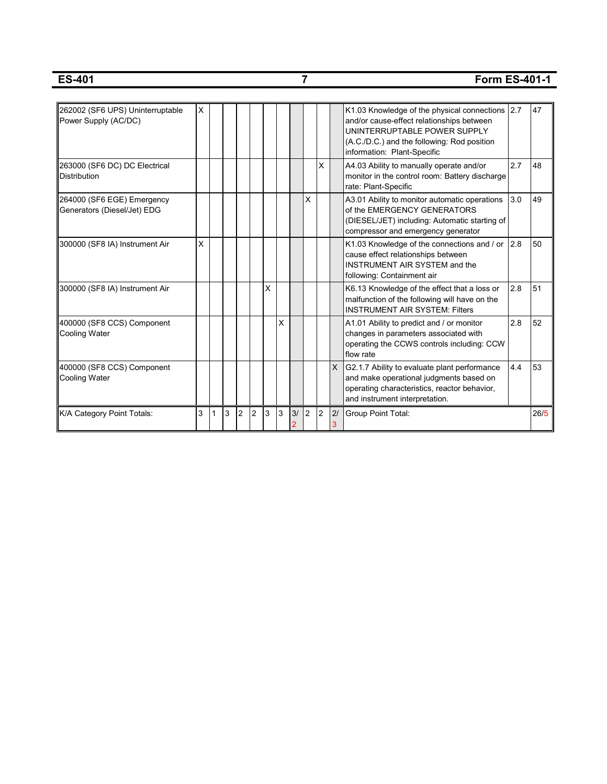## **ES-401 7 Form ES-401-1**

|                                                          | X |   |   |                |                |   |   |    |                |                |          |                                                                                              |     | 47   |
|----------------------------------------------------------|---|---|---|----------------|----------------|---|---|----|----------------|----------------|----------|----------------------------------------------------------------------------------------------|-----|------|
| 262002 (SF6 UPS) Uninterruptable<br>Power Supply (AC/DC) |   |   |   |                |                |   |   |    |                |                |          | K1.03 Knowledge of the physical connections 2.7<br>and/or cause-effect relationships between |     |      |
|                                                          |   |   |   |                |                |   |   |    |                |                |          | UNINTERRUPTABLE POWER SUPPLY                                                                 |     |      |
|                                                          |   |   |   |                |                |   |   |    |                |                |          | (A.C./D.C.) and the following: Rod position                                                  |     |      |
|                                                          |   |   |   |                |                |   |   |    |                |                |          | information: Plant-Specific                                                                  |     |      |
| 263000 (SF6 DC) DC Electrical                            |   |   |   |                |                |   |   |    |                | X              |          | A4.03 Ability to manually operate and/or                                                     | 2.7 | 48   |
| <b>Distribution</b>                                      |   |   |   |                |                |   |   |    |                |                |          | monitor in the control room: Battery discharge                                               |     |      |
|                                                          |   |   |   |                |                |   |   |    |                |                |          | rate: Plant-Specific                                                                         |     |      |
| 264000 (SF6 EGE) Emergency                               |   |   |   |                |                |   |   |    | X              |                |          | A3.01 Ability to monitor automatic operations                                                | 3.0 | 49   |
| Generators (Diesel/Jet) EDG                              |   |   |   |                |                |   |   |    |                |                |          | of the EMERGENCY GENERATORS                                                                  |     |      |
|                                                          |   |   |   |                |                |   |   |    |                |                |          | (DIESEL/JET) including: Automatic starting of<br>compressor and emergency generator          |     |      |
|                                                          | X |   |   |                |                |   |   |    |                |                |          |                                                                                              |     | 50   |
| 300000 (SF8 IA) Instrument Air                           |   |   |   |                |                |   |   |    |                |                |          | K1.03 Knowledge of the connections and / or 2.8<br>cause effect relationships between        |     |      |
|                                                          |   |   |   |                |                |   |   |    |                |                |          | INSTRUMENT AIR SYSTEM and the                                                                |     |      |
|                                                          |   |   |   |                |                |   |   |    |                |                |          | following: Containment air                                                                   |     |      |
| 300000 (SF8 IA) Instrument Air                           |   |   |   |                |                | X |   |    |                |                |          | K6.13 Knowledge of the effect that a loss or                                                 | 2.8 | 51   |
|                                                          |   |   |   |                |                |   |   |    |                |                |          | malfunction of the following will have on the                                                |     |      |
|                                                          |   |   |   |                |                |   |   |    |                |                |          | <b>INSTRUMENT AIR SYSTEM: Filters</b>                                                        |     |      |
| 400000 (SF8 CCS) Component                               |   |   |   |                |                |   | X |    |                |                |          | A1.01 Ability to predict and / or monitor                                                    | 2.8 | 52   |
| Cooling Water                                            |   |   |   |                |                |   |   |    |                |                |          | changes in parameters associated with                                                        |     |      |
|                                                          |   |   |   |                |                |   |   |    |                |                |          | operating the CCWS controls including: CCW                                                   |     |      |
|                                                          |   |   |   |                |                |   |   |    |                |                |          | flow rate                                                                                    |     |      |
| 400000 (SF8 CCS) Component                               |   |   |   |                |                |   |   |    |                |                | $\times$ | G2.1.7 Ability to evaluate plant performance                                                 | 4.4 | 53   |
| Cooling Water                                            |   |   |   |                |                |   |   |    |                |                |          | and make operational judgments based on                                                      |     |      |
|                                                          |   |   |   |                |                |   |   |    |                |                |          | operating characteristics, reactor behavior,                                                 |     |      |
|                                                          |   |   |   |                |                |   |   |    |                |                |          | and instrument interpretation.                                                               |     |      |
| K/A Category Point Totals:                               | 3 | 1 | 3 | $\overline{2}$ | $\overline{2}$ | 3 | 3 | 3/ | $\overline{2}$ | $\overline{c}$ | 2/       | <b>Group Point Total:</b>                                                                    |     | 26/5 |
|                                                          |   |   |   |                |                |   |   | 2  |                |                |          |                                                                                              |     |      |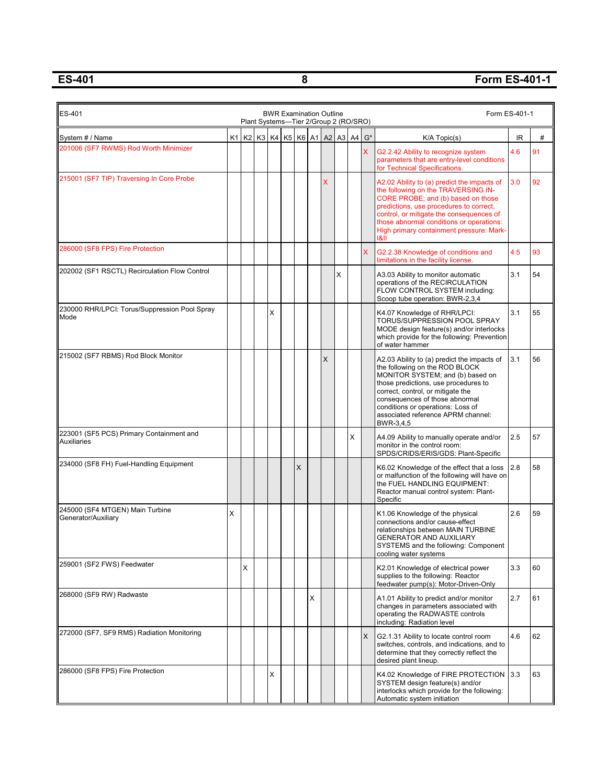## **ES-401 8 Form ES-401-1**

 $\overline{a}$ 

| ES-401<br><b>BWR Examination Outline</b><br>Form ES-401-1<br>Plant Systems-Tier 2/Group 2 (RO/SRO) |   |   |                                                      |   |  |   |   |          |   |   |   |                                                                                                                                                                                                                                                                                                                          |                                   |    |
|----------------------------------------------------------------------------------------------------|---|---|------------------------------------------------------|---|--|---|---|----------|---|---|---|--------------------------------------------------------------------------------------------------------------------------------------------------------------------------------------------------------------------------------------------------------------------------------------------------------------------------|-----------------------------------|----|
| System # / Name                                                                                    |   |   | K1   K2   K3   K4   K5   K6   A1   A2   A3   A4   G* |   |  |   |   |          |   |   |   | K/A Topic(s)                                                                                                                                                                                                                                                                                                             | $\ensuremath{\mathsf{IR}}\xspace$ | #  |
| 201006 (SF7 RWMS) Rod Worth Minimizer                                                              |   |   |                                                      |   |  |   |   |          |   |   | X | G2.2.42 Ability to recognize system<br>parameters that are entry-level conditions<br>for Technical Specifications.                                                                                                                                                                                                       | 4.6                               | 91 |
| 215001 (SF7 TIP) Traversing In Core Probe                                                          |   |   |                                                      |   |  |   |   | X        |   |   |   | A2.02 Ability to (a) predict the impacts of<br>the following on the TRAVERSING IN-<br>CORE PROBE; and (b) based on those<br>predictions, use procedures to correct,<br>control, or mitigate the consequences of<br>those abnormal conditions or operations:<br>High primary containment pressure: Mark-<br> 8            | 3.0                               | 92 |
| 286000 (SF8 FPS) Fire Protection                                                                   |   |   |                                                      |   |  |   |   |          |   |   | X | G2.2.38 Knowledge of conditions and<br>limitations in the facility license.                                                                                                                                                                                                                                              | 4.5                               | 93 |
| 202002 (SF1 RSCTL) Recirculation Flow Control                                                      |   |   |                                                      |   |  |   |   |          | X |   |   | A3.03 Ability to monitor automatic<br>operations of the RECIRCULATION<br>FLOW CONTROL SYSTEM including:<br>Scoop tube operation: BWR-2,3,4                                                                                                                                                                               | 3.1                               | 54 |
| 230000 RHR/LPCI: Torus/Suppression Pool Spray<br>Mode                                              |   |   |                                                      | X |  |   |   |          |   |   |   | K4.07 Knowledge of RHR/LPCI:<br>TORUS/SUPPRESSION POOL SPRAY<br>MODE design feature(s) and/or interlocks<br>which provide for the following: Prevention<br>of water hammer                                                                                                                                               | 3.1                               | 55 |
| 215002 (SF7 RBMS) Rod Block Monitor                                                                |   |   |                                                      |   |  |   |   | $\times$ |   |   |   | A2.03 Ability to (a) predict the impacts of<br>the following on the ROD BLOCK<br>MONITOR SYSTEM; and (b) based on<br>those predictions, use procedures to<br>correct, control, or mitigate the<br>consequences of those abnormal<br>conditions or operations: Loss of<br>associated reference APRM channel:<br>BWR-3,4,5 | 3.1                               | 56 |
| 223001 (SF5 PCS) Primary Containment and<br><b>Auxiliaries</b>                                     |   |   |                                                      |   |  |   |   |          |   | X |   | A4.09 Ability to manually operate and/or<br>monitor in the control room:<br>SPDS/CRIDS/ERIS/GDS: Plant-Specific                                                                                                                                                                                                          | 2.5                               | 57 |
| 234000 (SF8 FH) Fuel-Handling Equipment                                                            |   |   |                                                      |   |  | X |   |          |   |   |   | K6.02 Knowledge of the effect that a loss<br>or malfunction of the following will have on<br>the FUEL HANDLING EQUIPMENT:<br>Reactor manual control system: Plant-<br>Specific                                                                                                                                           | 2.8                               | 58 |
| 245000 (SF4 MTGEN) Main Turbine<br>Generator/Auxiliary                                             | X |   |                                                      |   |  |   |   |          |   |   |   | K1.06 Knowledge of the physical<br>connections and/or cause-effect<br>relationships between MAIN TURBINE<br><b>GENERATOR AND AUXILIARY</b><br>SYSTEMS and the following: Component<br>cooling water systems                                                                                                              | 2.6                               | 59 |
| 259001 (SF2 FWS) Feedwater                                                                         |   | X |                                                      |   |  |   |   |          |   |   |   | K2.01 Knowledge of electrical power<br>supplies to the following: Reactor<br>feedwater pump(s): Motor-Driven-Only                                                                                                                                                                                                        | 3.3                               | 60 |
| 268000 (SF9 RW) Radwaste                                                                           |   |   |                                                      |   |  |   | X |          |   |   |   | A1.01 Ability to predict and/or monitor<br>changes in parameters associated with<br>operating the RADWASTE controls<br>including: Radiation level                                                                                                                                                                        | 2.7                               | 61 |
| 272000 (SF7, SF9 RMS) Radiation Monitoring                                                         |   |   |                                                      |   |  |   |   |          |   |   | X | G2.1.31 Ability to locate control room<br>switches, controls, and indications, and to<br>determine that they correctly reflect the<br>desired plant lineup.                                                                                                                                                              | 4.6                               | 62 |
| 286000 (SF8 FPS) Fire Protection                                                                   |   |   |                                                      | X |  |   |   |          |   |   |   | K4.02 Knowledge of FIRE PROTECTION 3.3<br>SYSTEM design feature(s) and/or<br>interlocks which provide for the following:<br>Automatic system initiation                                                                                                                                                                  |                                   | 63 |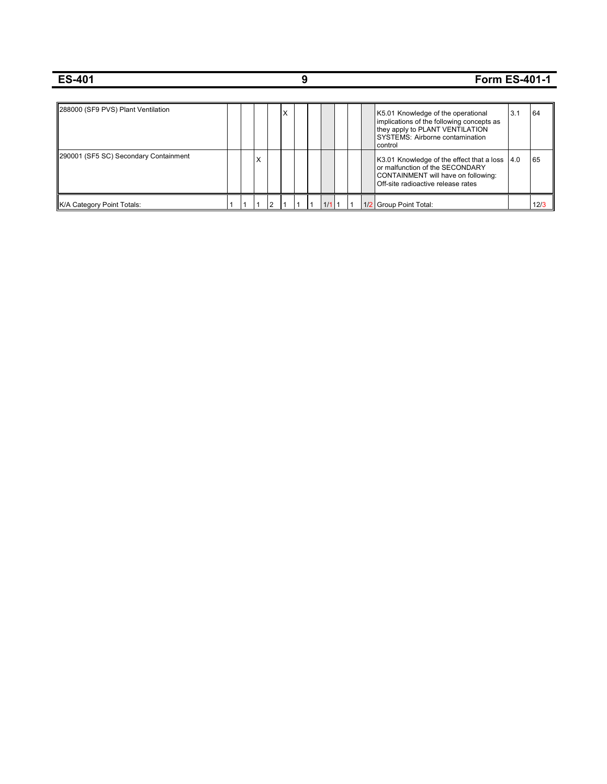| <b>ES-401</b>                         |  |   |   |   |  |     |  |                                                                                                                                                                  |     | <b>Form ES-401-1</b> |  |
|---------------------------------------|--|---|---|---|--|-----|--|------------------------------------------------------------------------------------------------------------------------------------------------------------------|-----|----------------------|--|
|                                       |  |   |   |   |  |     |  |                                                                                                                                                                  |     |                      |  |
| 288000 (SF9 PVS) Plant Ventilation    |  |   |   | X |  |     |  | K5.01 Knowledge of the operational<br>implications of the following concepts as<br>they apply to PLANT VENTILATION<br>SYSTEMS: Airborne contamination<br>control | 3.1 | 64                   |  |
| 290001 (SF5 SC) Secondary Containment |  | x |   |   |  |     |  | K3.01 Knowledge of the effect that a loss   4.0<br>or malfunction of the SECONDARY<br>CONTAINMENT will have on following:<br>Off-site radioactive release rates  |     | 65                   |  |
| <b>IK/A Category Point Totals:</b>    |  |   | 2 |   |  | 1/1 |  | 1/2 Group Point Total:                                                                                                                                           |     | 12/3                 |  |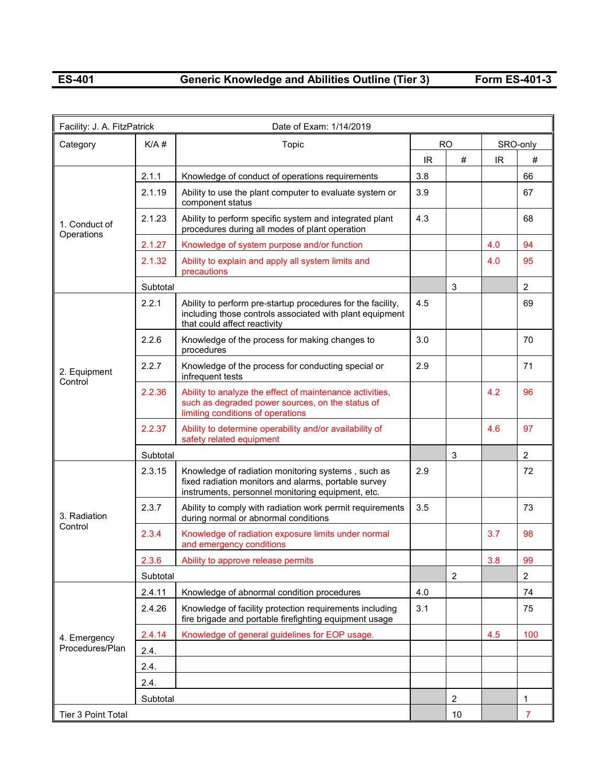## **ES-401 Generic Knowledge and Abilities Outline (Tier 3) Form ES-401-3**

| Facility: J. A. FitzPatrick |          | Date of Exam: 1/14/2019                                                                                                                                         |     |                |     |                |
|-----------------------------|----------|-----------------------------------------------------------------------------------------------------------------------------------------------------------------|-----|----------------|-----|----------------|
| Category                    | K/A#     | Topic                                                                                                                                                           |     | <b>RO</b>      |     | SRO-only       |
|                             |          |                                                                                                                                                                 | IR  | #              | IR. | #              |
|                             | 2.1.1    | Knowledge of conduct of operations requirements                                                                                                                 | 3.8 |                |     | 66             |
|                             | 2.1.19   | Ability to use the plant computer to evaluate system or<br>component status                                                                                     | 3.9 |                |     | 67             |
| 1. Conduct of<br>Operations | 2.1.23   | Ability to perform specific system and integrated plant<br>procedures during all modes of plant operation                                                       | 4.3 |                |     | 68             |
|                             | 2.1.27   | Knowledge of system purpose and/or function                                                                                                                     |     |                | 4.0 | 94             |
|                             | 2.1.32   | Ability to explain and apply all system limits and<br>precautions                                                                                               |     |                | 4.0 | 95             |
|                             | Subtotal |                                                                                                                                                                 |     | 3              |     | $\overline{2}$ |
|                             | 2.2.1    | Ability to perform pre-startup procedures for the facility,<br>including those controls associated with plant equipment<br>that could affect reactivity         | 4.5 |                |     | 69             |
| 2. Equipment<br>Control     | 2.2.6    | Knowledge of the process for making changes to<br>procedures                                                                                                    | 3.0 |                |     | 70             |
|                             | 2.2.7    | Knowledge of the process for conducting special or<br>infrequent tests                                                                                          | 2.9 |                |     | 71             |
|                             | 2.2.36   | Ability to analyze the effect of maintenance activities,<br>such as degraded power sources, on the status of<br>limiting conditions of operations               |     |                | 4.2 | 96             |
|                             | 2.2.37   | Ability to determine operability and/or availability of<br>safety related equipment                                                                             |     |                | 4.6 | 97             |
|                             | Subtotal |                                                                                                                                                                 |     | 3              |     | $\overline{2}$ |
|                             | 2.3.15   | Knowledge of radiation monitoring systems, such as<br>fixed radiation monitors and alarms, portable survey<br>instruments, personnel monitoring equipment, etc. | 2.9 |                |     | 72             |
| 3. Radiation                | 2.3.7    | Ability to comply with radiation work permit requirements<br>during normal or abnormal conditions                                                               | 3.5 |                |     | 73             |
| Control                     | 2.3.4    | Knowledge of radiation exposure limits under normal<br>and emergency conditions                                                                                 |     |                | 3.7 | 98             |
|                             | 2.3.6    | Ability to approve release permits                                                                                                                              |     |                | 3.8 | 99             |
|                             | Subtotal |                                                                                                                                                                 |     | $\overline{2}$ |     | $\overline{2}$ |
|                             | 2.4.11   | Knowledge of abnormal condition procedures                                                                                                                      | 4.0 |                |     | 74             |
|                             | 2.4.26   | Knowledge of facility protection requirements including<br>fire brigade and portable firefighting equipment usage                                               | 3.1 |                |     | 75             |
| 4. Emergency                | 2.4.14   | Knowledge of general guidelines for EOP usage.                                                                                                                  |     |                | 4.5 | 100            |
| Procedures/Plan             | 2.4.     |                                                                                                                                                                 |     |                |     |                |
|                             | 2.4.     |                                                                                                                                                                 |     |                |     |                |
|                             | 2.4.     |                                                                                                                                                                 |     |                |     |                |
|                             | Subtotal |                                                                                                                                                                 |     | $\overline{2}$ |     | 1              |
| Tier 3 Point Total          |          |                                                                                                                                                                 |     | 10             |     | $\overline{7}$ |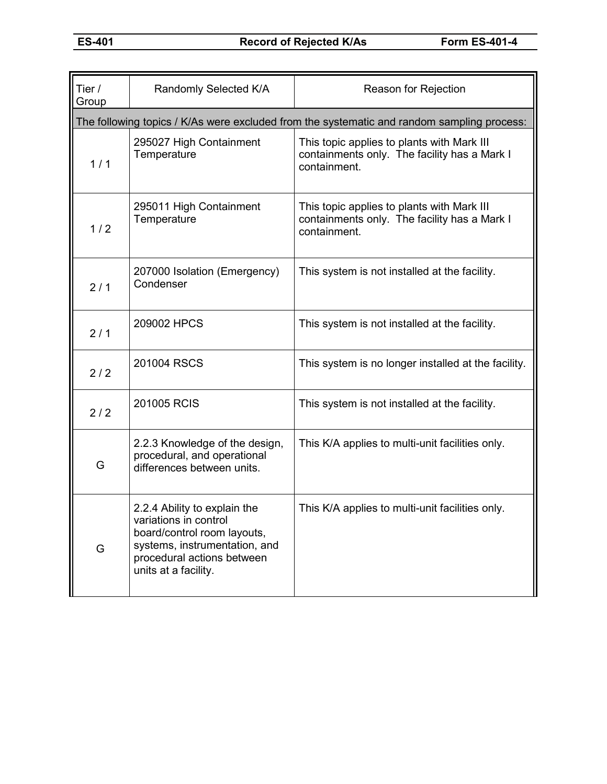| Tier /<br>Group | Randomly Selected K/A                                                                                                                                                       | Reason for Rejection                                                                                       |
|-----------------|-----------------------------------------------------------------------------------------------------------------------------------------------------------------------------|------------------------------------------------------------------------------------------------------------|
|                 |                                                                                                                                                                             | The following topics / K/As were excluded from the systematic and random sampling process:                 |
| 1/1             | 295027 High Containment<br>Temperature                                                                                                                                      | This topic applies to plants with Mark III<br>containments only. The facility has a Mark I<br>containment. |
| 1/2             | 295011 High Containment<br>Temperature                                                                                                                                      | This topic applies to plants with Mark III<br>containments only. The facility has a Mark I<br>containment. |
| 2/1             | 207000 Isolation (Emergency)<br>Condenser                                                                                                                                   | This system is not installed at the facility.                                                              |
| 2/1             | 209002 HPCS                                                                                                                                                                 | This system is not installed at the facility.                                                              |
| 2/2             | 201004 RSCS                                                                                                                                                                 | This system is no longer installed at the facility.                                                        |
| 2/2             | 201005 RCIS                                                                                                                                                                 | This system is not installed at the facility.                                                              |
| G               | 2.2.3 Knowledge of the design,<br>procedural, and operational<br>differences between units.                                                                                 | This K/A applies to multi-unit facilities only.                                                            |
| G               | 2.2.4 Ability to explain the<br>variations in control<br>board/control room layouts,<br>systems, instrumentation, and<br>procedural actions between<br>units at a facility. | This K/A applies to multi-unit facilities only.                                                            |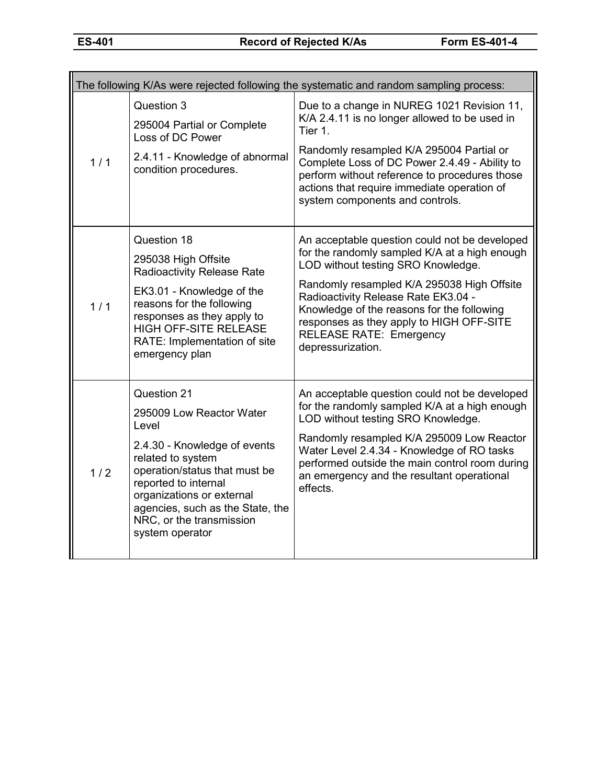|     |                                                                                                                                                                                                                                                                                | The following K/As were rejected following the systematic and random sampling process:                                                                                                                                                                                                                                                                                     |
|-----|--------------------------------------------------------------------------------------------------------------------------------------------------------------------------------------------------------------------------------------------------------------------------------|----------------------------------------------------------------------------------------------------------------------------------------------------------------------------------------------------------------------------------------------------------------------------------------------------------------------------------------------------------------------------|
| 1/1 | Question 3<br>295004 Partial or Complete<br>Loss of DC Power<br>2.4.11 - Knowledge of abnormal<br>condition procedures.                                                                                                                                                        | Due to a change in NUREG 1021 Revision 11,<br>K/A 2.4.11 is no longer allowed to be used in<br>Tier 1.<br>Randomly resampled K/A 295004 Partial or<br>Complete Loss of DC Power 2.4.49 - Ability to<br>perform without reference to procedures those<br>actions that require immediate operation of<br>system components and controls.                                     |
| 1/1 | Question 18<br>295038 High Offsite<br><b>Radioactivity Release Rate</b><br>EK3.01 - Knowledge of the<br>reasons for the following<br>responses as they apply to<br><b>HIGH OFF-SITE RELEASE</b><br>RATE: Implementation of site<br>emergency plan                              | An acceptable question could not be developed<br>for the randomly sampled K/A at a high enough<br>LOD without testing SRO Knowledge.<br>Randomly resampled K/A 295038 High Offsite<br>Radioactivity Release Rate EK3.04 -<br>Knowledge of the reasons for the following<br>responses as they apply to HIGH OFF-SITE<br><b>RELEASE RATE: Emergency</b><br>depressurization. |
| 1/2 | Question 21<br>295009 Low Reactor Water<br>Level<br>2.4.30 - Knowledge of events<br>related to system<br>operation/status that must be<br>reported to internal<br>organizations or external<br>agencies, such as the State, the<br>NRC, or the transmission<br>system operator | An acceptable question could not be developed<br>for the randomly sampled K/A at a high enough<br>LOD without testing SRO Knowledge.<br>Randomly resampled K/A 295009 Low Reactor<br>Water Level 2.4.34 - Knowledge of RO tasks<br>performed outside the main control room during<br>an emergency and the resultant operational<br>effects.                                |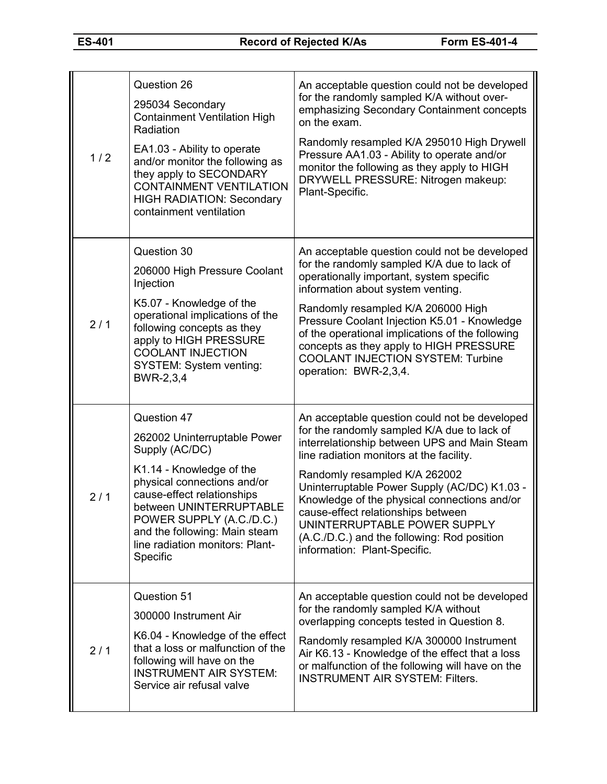| 1/2 | Question 26<br>295034 Secondary<br><b>Containment Ventilation High</b><br>Radiation<br>EA1.03 - Ability to operate<br>and/or monitor the following as<br>they apply to SECONDARY<br><b>CONTAINMENT VENTILATION</b><br><b>HIGH RADIATION: Secondary</b><br>containment ventilation             | An acceptable question could not be developed<br>for the randomly sampled K/A without over-<br>emphasizing Secondary Containment concepts<br>on the exam.<br>Randomly resampled K/A 295010 High Drywell<br>Pressure AA1.03 - Ability to operate and/or<br>monitor the following as they apply to HIGH<br>DRYWELL PRESSURE: Nitrogen makeup:<br>Plant-Specific.                                                                                                                 |
|-----|-----------------------------------------------------------------------------------------------------------------------------------------------------------------------------------------------------------------------------------------------------------------------------------------------|--------------------------------------------------------------------------------------------------------------------------------------------------------------------------------------------------------------------------------------------------------------------------------------------------------------------------------------------------------------------------------------------------------------------------------------------------------------------------------|
| 2/1 | Question 30<br>206000 High Pressure Coolant<br>Injection<br>K5.07 - Knowledge of the<br>operational implications of the<br>following concepts as they<br>apply to HIGH PRESSURE<br><b>COOLANT INJECTION</b><br>SYSTEM: System venting:<br>BWR-2,3,4                                           | An acceptable question could not be developed<br>for the randomly sampled K/A due to lack of<br>operationally important, system specific<br>information about system venting.<br>Randomly resampled K/A 206000 High<br>Pressure Coolant Injection K5.01 - Knowledge<br>of the operational implications of the following<br>concepts as they apply to HIGH PRESSURE<br><b>COOLANT INJECTION SYSTEM: Turbine</b><br>operation: BWR-2,3,4.                                        |
| 2/1 | Question 47<br>262002 Uninterruptable Power<br>Supply (AC/DC)<br>K1.14 - Knowledge of the<br>physical connections and/or<br>cause-effect relationships<br>between UNINTERRUPTABLE<br>POWER SUPPLY (A.C./D.C.)<br>and the following: Main steam<br>line radiation monitors: Plant-<br>Specific | An acceptable question could not be developed<br>for the randomly sampled K/A due to lack of<br>interrelationship between UPS and Main Steam<br>line radiation monitors at the facility.<br>Randomly resampled K/A 262002<br>Uninterruptable Power Supply (AC/DC) K1.03 -<br>Knowledge of the physical connections and/or<br>cause-effect relationships between<br>UNINTERRUPTABLE POWER SUPPLY<br>(A.C./D.C.) and the following: Rod position<br>information: Plant-Specific. |
| 2/1 | Question 51<br>300000 Instrument Air<br>K6.04 - Knowledge of the effect<br>that a loss or malfunction of the<br>following will have on the<br><b>INSTRUMENT AIR SYSTEM:</b><br>Service air refusal valve                                                                                      | An acceptable question could not be developed<br>for the randomly sampled K/A without<br>overlapping concepts tested in Question 8.<br>Randomly resampled K/A 300000 Instrument<br>Air K6.13 - Knowledge of the effect that a loss<br>or malfunction of the following will have on the<br><b>INSTRUMENT AIR SYSTEM: Filters.</b>                                                                                                                                               |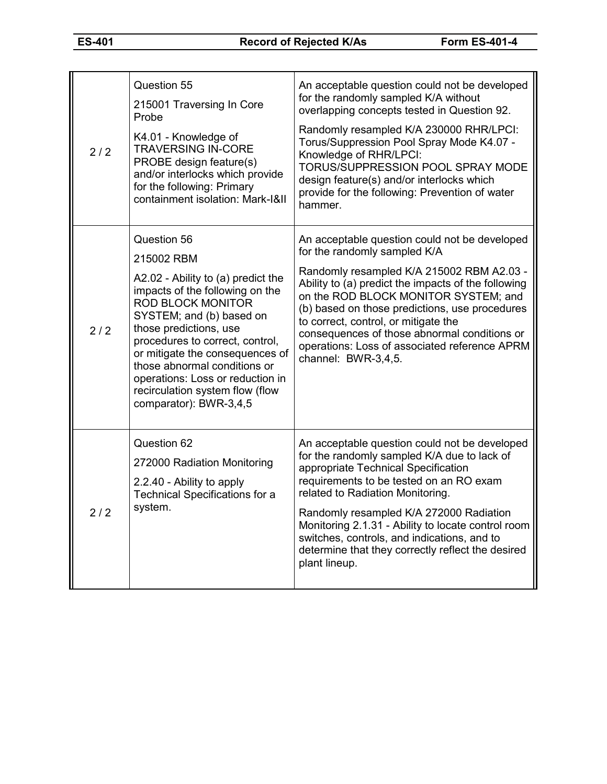| 2/2   | Question 55<br>215001 Traversing In Core<br>Probe<br>K4.01 - Knowledge of<br><b>TRAVERSING IN-CORE</b><br>PROBE design feature(s)<br>and/or interlocks which provide<br>for the following: Primary<br>containment isolation: Mark-I&II                                                                                                                                                      | An acceptable question could not be developed<br>for the randomly sampled K/A without<br>overlapping concepts tested in Question 92.<br>Randomly resampled K/A 230000 RHR/LPCI:<br>Torus/Suppression Pool Spray Mode K4.07 -<br>Knowledge of RHR/LPCI:<br>TORUS/SUPPRESSION POOL SPRAY MODE<br>design feature(s) and/or interlocks which<br>provide for the following: Prevention of water<br>hammer.                                       |
|-------|---------------------------------------------------------------------------------------------------------------------------------------------------------------------------------------------------------------------------------------------------------------------------------------------------------------------------------------------------------------------------------------------|---------------------------------------------------------------------------------------------------------------------------------------------------------------------------------------------------------------------------------------------------------------------------------------------------------------------------------------------------------------------------------------------------------------------------------------------|
| 2/2   | Question 56<br>215002 RBM<br>A2.02 - Ability to (a) predict the<br>impacts of the following on the<br><b>ROD BLOCK MONITOR</b><br>SYSTEM; and (b) based on<br>those predictions, use<br>procedures to correct, control,<br>or mitigate the consequences of<br>those abnormal conditions or<br>operations: Loss or reduction in<br>recirculation system flow (flow<br>comparator): BWR-3,4,5 | An acceptable question could not be developed<br>for the randomly sampled K/A<br>Randomly resampled K/A 215002 RBM A2.03 -<br>Ability to (a) predict the impacts of the following<br>on the ROD BLOCK MONITOR SYSTEM; and<br>(b) based on those predictions, use procedures<br>to correct, control, or mitigate the<br>consequences of those abnormal conditions or<br>operations: Loss of associated reference APRM<br>channel: BWR-3,4,5. |
| $2/2$ | Question 62<br>272000 Radiation Monitoring<br>2.2.40 - Ability to apply<br><b>Technical Specifications for a</b><br>system.                                                                                                                                                                                                                                                                 | An acceptable question could not be developed<br>for the randomly sampled K/A due to lack of<br>appropriate Technical Specification<br>requirements to be tested on an RO exam<br>related to Radiation Monitoring.<br>Randomly resampled K/A 272000 Radiation<br>Monitoring 2.1.31 - Ability to locate control room<br>switches, controls, and indications, and to<br>determine that they correctly reflect the desired<br>plant lineup.    |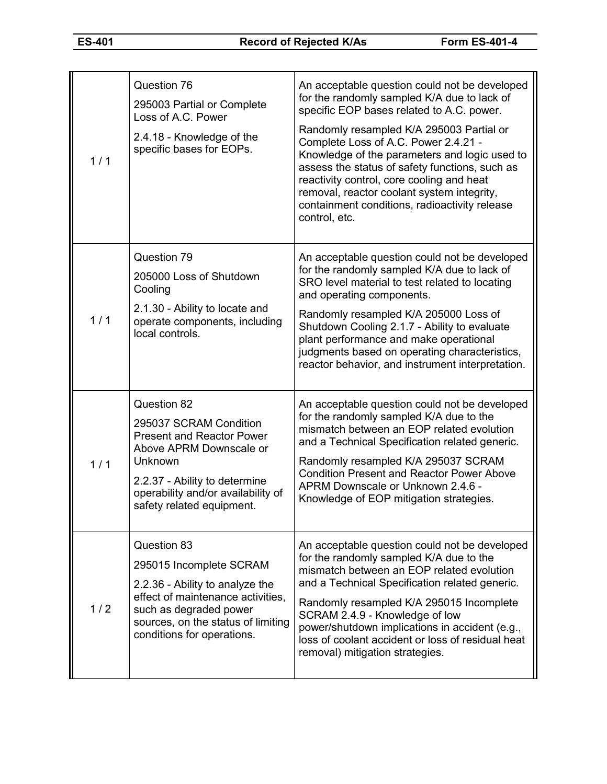| 1/1 | Question 76<br>295003 Partial or Complete<br>Loss of A.C. Power<br>2.4.18 - Knowledge of the<br>specific bases for EOPs.                                                                                            | An acceptable question could not be developed<br>for the randomly sampled K/A due to lack of<br>specific EOP bases related to A.C. power.<br>Randomly resampled K/A 295003 Partial or<br>Complete Loss of A.C. Power 2.4.21 -<br>Knowledge of the parameters and logic used to<br>assess the status of safety functions, such as<br>reactivity control, core cooling and heat<br>removal, reactor coolant system integrity,<br>containment conditions, radioactivity release<br>control, etc. |
|-----|---------------------------------------------------------------------------------------------------------------------------------------------------------------------------------------------------------------------|-----------------------------------------------------------------------------------------------------------------------------------------------------------------------------------------------------------------------------------------------------------------------------------------------------------------------------------------------------------------------------------------------------------------------------------------------------------------------------------------------|
| 1/1 | Question 79<br>205000 Loss of Shutdown<br>Cooling<br>2.1.30 - Ability to locate and<br>operate components, including<br>local controls.                                                                             | An acceptable question could not be developed<br>for the randomly sampled K/A due to lack of<br>SRO level material to test related to locating<br>and operating components.<br>Randomly resampled K/A 205000 Loss of<br>Shutdown Cooling 2.1.7 - Ability to evaluate<br>plant performance and make operational<br>judgments based on operating characteristics,<br>reactor behavior, and instrument interpretation.                                                                           |
| 1/1 | Question 82<br>295037 SCRAM Condition<br><b>Present and Reactor Power</b><br>Above APRM Downscale or<br>Unknown<br>2.2.37 - Ability to determine<br>operability and/or availability of<br>safety related equipment. | An acceptable question could not be developed<br>for the randomly sampled K/A due to the<br>mismatch between an EOP related evolution<br>and a Technical Specification related generic.<br>Randomly resampled K/A 295037 SCRAM<br><b>Condition Present and Reactor Power Above</b><br>APRM Downscale or Unknown 2.4.6 -<br>Knowledge of EOP mitigation strategies.                                                                                                                            |
| 1/2 | Question 83<br>295015 Incomplete SCRAM<br>2.2.36 - Ability to analyze the<br>effect of maintenance activities,<br>such as degraded power<br>sources, on the status of limiting<br>conditions for operations.        | An acceptable question could not be developed<br>for the randomly sampled K/A due to the<br>mismatch between an EOP related evolution<br>and a Technical Specification related generic.<br>Randomly resampled K/A 295015 Incomplete<br>SCRAM 2.4.9 - Knowledge of low<br>power/shutdown implications in accident (e.g.,<br>loss of coolant accident or loss of residual heat<br>removal) mitigation strategies.                                                                               |